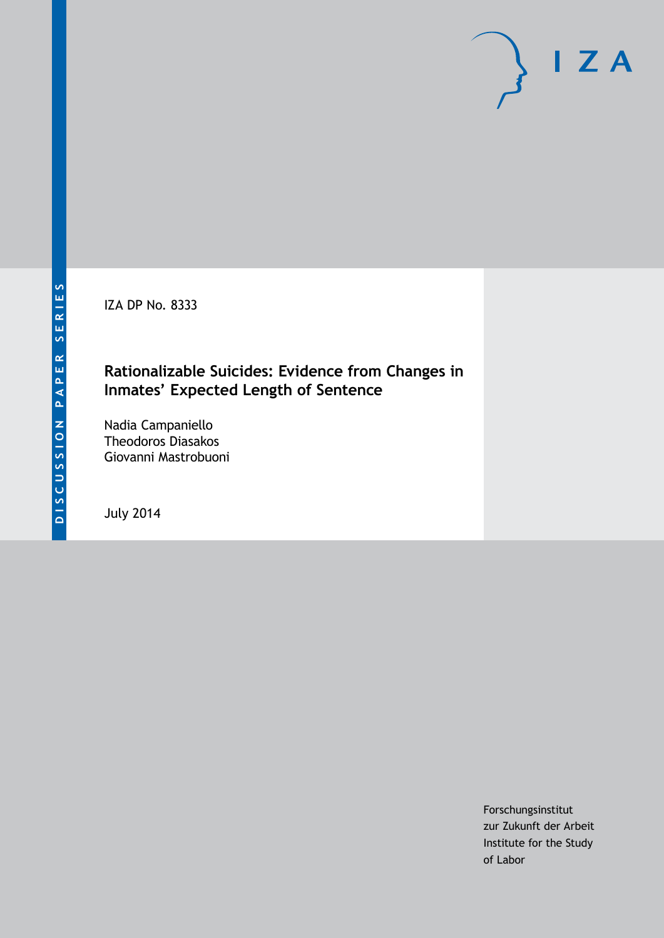IZA DP No. 8333

## **Rationalizable Suicides: Evidence from Changes in Inmates' Expected Length of Sentence**

Nadia Campaniello Theodoros Diasakos Giovanni Mastrobuoni

July 2014

Forschungsinstitut zur Zukunft der Arbeit Institute for the Study of Labor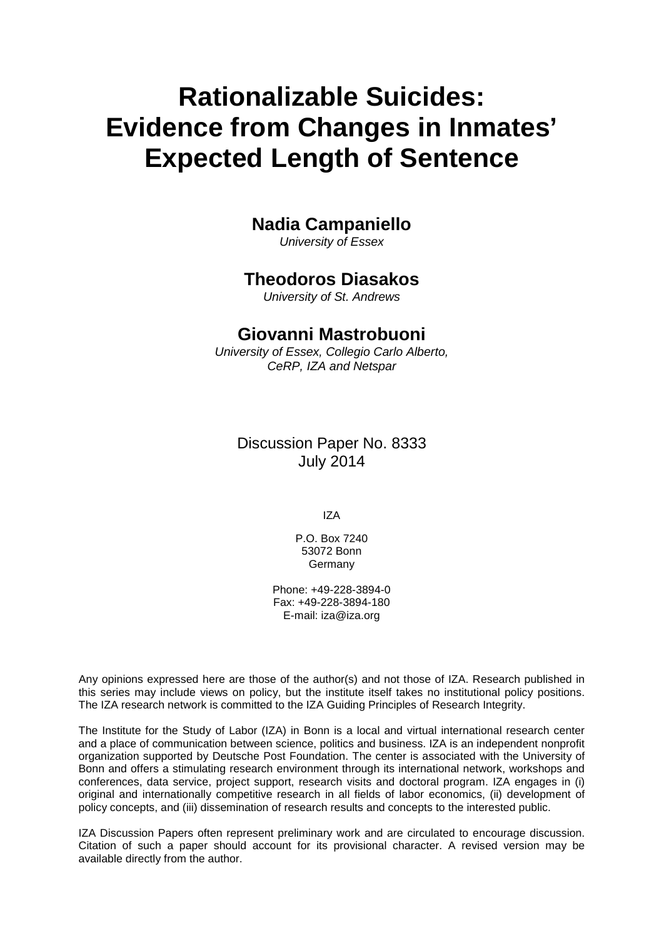# **Rationalizable Suicides: Evidence from Changes in Inmates' Expected Length of Sentence**

#### **Nadia Campaniello**

*University of Essex*

#### **Theodoros Diasakos**

*University of St. Andrews*

#### **Giovanni Mastrobuoni**

*University of Essex, Collegio Carlo Alberto, CeRP, IZA and Netspar*

Discussion Paper No. 8333 July 2014

IZA

P.O. Box 7240 53072 Bonn **Germany** 

Phone: +49-228-3894-0 Fax: +49-228-3894-180 E-mail: [iza@iza.org](mailto:iza@iza.org)

Any opinions expressed here are those of the author(s) and not those of IZA. Research published in this series may include views on policy, but the institute itself takes no institutional policy positions. The IZA research network is committed to the IZA Guiding Principles of Research Integrity.

The Institute for the Study of Labor (IZA) in Bonn is a local and virtual international research center and a place of communication between science, politics and business. IZA is an independent nonprofit organization supported by Deutsche Post Foundation. The center is associated with the University of Bonn and offers a stimulating research environment through its international network, workshops and conferences, data service, project support, research visits and doctoral program. IZA engages in (i) original and internationally competitive research in all fields of labor economics, (ii) development of policy concepts, and (iii) dissemination of research results and concepts to the interested public.

<span id="page-1-0"></span>IZA Discussion Papers often represent preliminary work and are circulated to encourage discussion. Citation of such a paper should account for its provisional character. A revised version may be available directly from the author.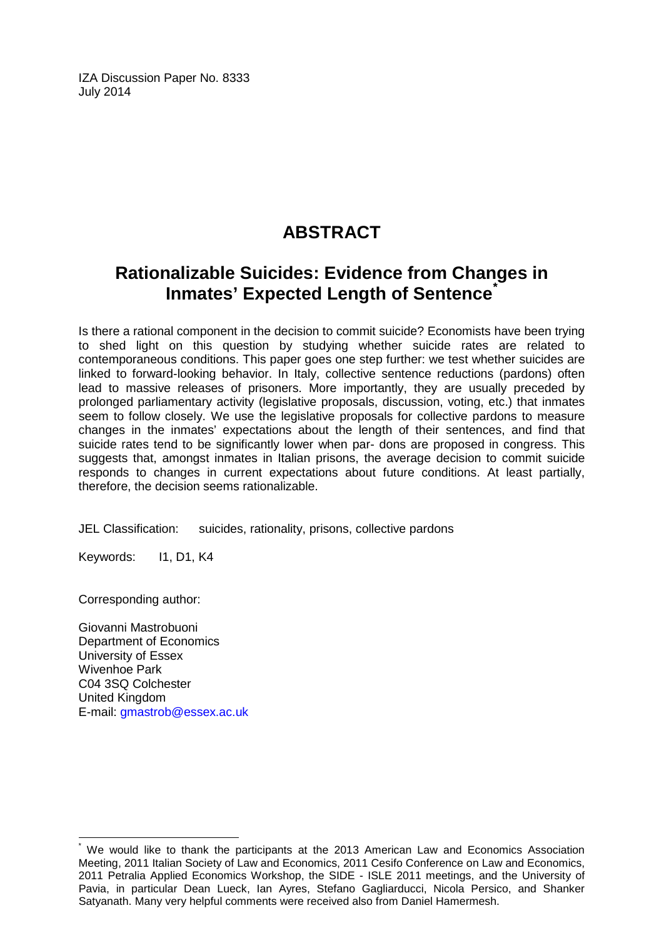IZA Discussion Paper No. 8333 July 2014

# **ABSTRACT**

## **Rationalizable Suicides: Evidence from Changes in Inmates' Expected Length of Sentence**<sup>[\\*](#page-1-0)</sup>

Is there a rational component in the decision to commit suicide? Economists have been trying to shed light on this question by studying whether suicide rates are related to contemporaneous conditions. This paper goes one step further: we test whether suicides are linked to forward-looking behavior. In Italy, collective sentence reductions (pardons) often lead to massive releases of prisoners. More importantly, they are usually preceded by prolonged parliamentary activity (legislative proposals, discussion, voting, etc.) that inmates seem to follow closely. We use the legislative proposals for collective pardons to measure changes in the inmates' expectations about the length of their sentences, and find that suicide rates tend to be significantly lower when par- dons are proposed in congress. This suggests that, amongst inmates in Italian prisons, the average decision to commit suicide responds to changes in current expectations about future conditions. At least partially, therefore, the decision seems rationalizable.

JEL Classification: suicides, rationality, prisons, collective pardons

Keywords: I1, D1, K4

Corresponding author:

Giovanni Mastrobuoni Department of Economics University of Essex Wivenhoe Park C04 3SQ Colchester United Kingdom E-mail: [gmastrob@essex.ac.uk](mailto:gmastrob@essex.ac.uk)

We would like to thank the participants at the 2013 American Law and Economics Association Meeting, 2011 Italian Society of Law and Economics, 2011 Cesifo Conference on Law and Economics, 2011 Petralia Applied Economics Workshop, the SIDE - ISLE 2011 meetings, and the University of Pavia, in particular Dean Lueck, Ian Ayres, Stefano Gagliarducci, Nicola Persico, and Shanker Satyanath. Many very helpful comments were received also from Daniel Hamermesh.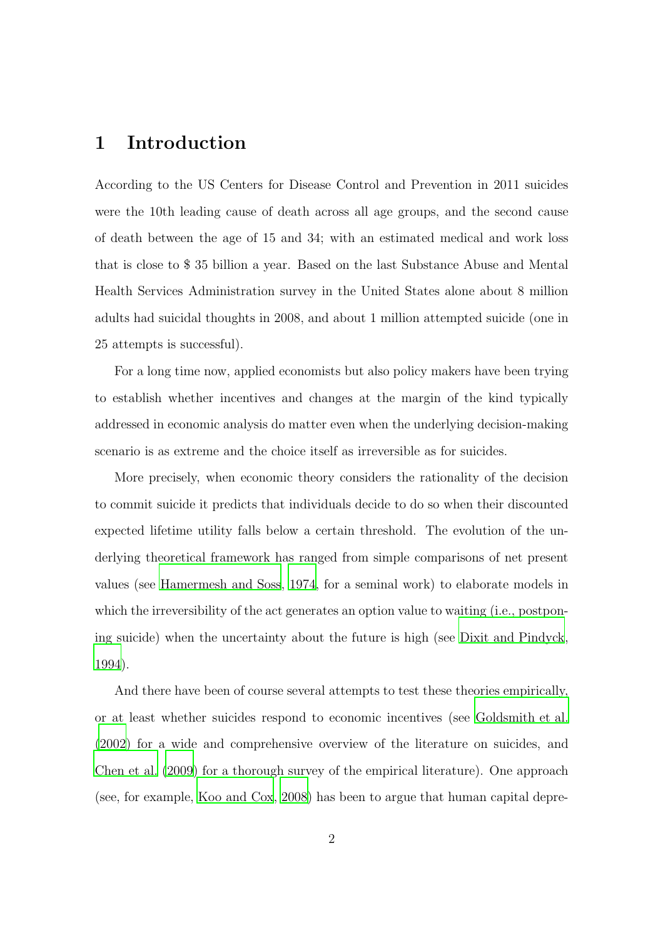## 1 Introduction

According to the US Centers for Disease Control and Prevention in 2011 suicides were the 10th leading cause of death across all age groups, and the second cause of death between the age of 15 and 34; with an estimated medical and work loss that is close to \$ 35 billion a year. Based on the last Substance Abuse and Mental Health Services Administration survey in the United States alone about 8 million adults had suicidal thoughts in 2008, and about 1 million attempted suicide (one in 25 attempts is successful).

For a long time now, applied economists but also policy makers have been trying to establish whether incentives and changes at the margin of the kind typically addressed in economic analysis do matter even when the underlying decision-making scenario is as extreme and the choice itself as irreversible as for suicides.

More precisely, when economic theory considers the rationality of the decision to commit suicide it predicts that individuals decide to do so when their discounted expected lifetime utility falls below a certain threshold. The evolution of the underlying theoretical framework has ranged from simple comparisons of net present values (see [Hamermesh and Soss](#page-29-0), [1974](#page-29-0), for a seminal work) to elaborate models in which the irreversibility of the act generates an option value to waiting (i.e., postponing suicide) when the uncertainty about the future is high (see [Dixit and Pindyck](#page-29-1), [1994\)](#page-29-1).

And there have been of course several attempts to test these theories empirically, or at least whether suicides respond to economic incentives (see [Goldsmith et al.](#page-29-2) [\(2002](#page-29-2)) for a wide and comprehensive overview of the literature on suicides, and [Chen et al. \(2009](#page-28-0)) for a thorough survey of the empirical literature). One approach (see, for example, [Koo and Cox, 2008\)](#page-30-0) has been to argue that human capital depre-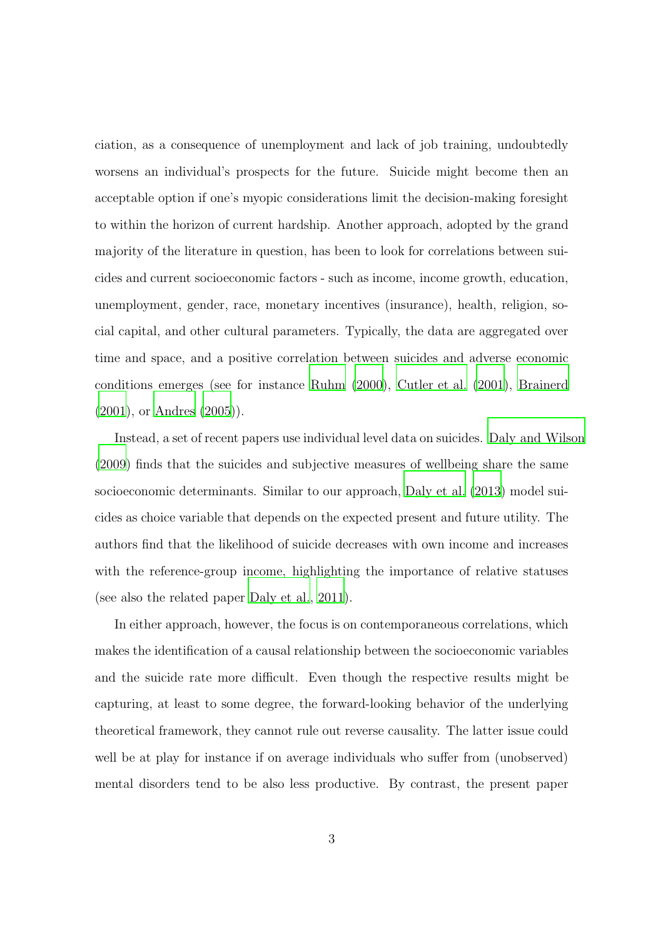ciation, as a consequence of unemployment and lack of job training, undoubtedly worsens an individual's prospects for the future. Suicide might become then an acceptable option if one's myopic considerations limit the decision-making foresight to within the horizon of current hardship. Another approach, adopted by the grand majority of the literature in question, has been to look for correlations between suicides and current socioeconomic factors - such as income, income growth, education, unemployment, gender, race, monetary incentives (insurance), health, religion, social capital, and other cultural parameters. Typically, the data are aggregated over time and space, and a positive correlation between suicides and adverse economic conditions emerges (see for instance [Ruhm \(2000](#page-30-1)), [Cutler et al. \(2001](#page-28-1)), [Brainerd](#page-28-2) [\(2001](#page-28-2)), or [Andres \(2005](#page-27-0))).

Instead, a set of recent papers use individual level data on suicides. [Daly and Wilson](#page-28-3) [\(2009](#page-28-3)) finds that the suicides and subjective measures of wellbeing share the same socioeconomic determinants. Similar to our approach, [Daly et al. \(2013\)](#page-28-4) model suicides as choice variable that depends on the expected present and future utility. The authors find that the likelihood of suicide decreases with own income and increases with the reference-group income, highlighting the importance of relative statuses (see also the related paper [Daly et al.](#page-28-5), [2011\)](#page-28-5).

In either approach, however, the focus is on contemporaneous correlations, which makes the identification of a causal relationship between the socioeconomic variables and the suicide rate more difficult. Even though the respective results might be capturing, at least to some degree, the forward-looking behavior of the underlying theoretical framework, they cannot rule out reverse causality. The latter issue could well be at play for instance if on average individuals who suffer from (unobserved) mental disorders tend to be also less productive. By contrast, the present paper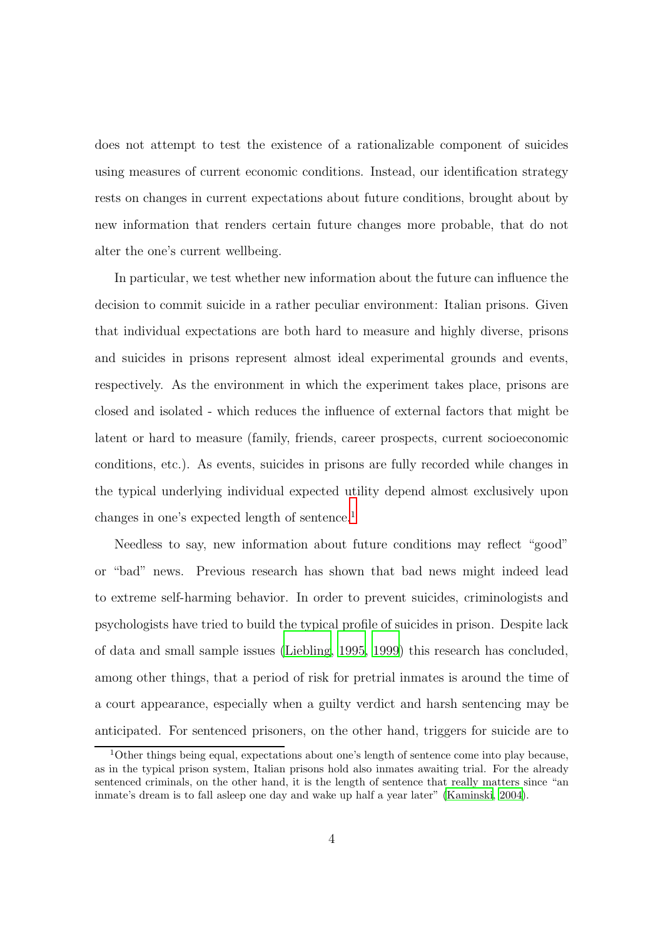does not attempt to test the existence of a rationalizable component of suicides using measures of current economic conditions. Instead, our identification strategy rests on changes in current expectations about future conditions, brought about by new information that renders certain future changes more probable, that do not alter the one's current wellbeing.

In particular, we test whether new information about the future can influence the decision to commit suicide in a rather peculiar environment: Italian prisons. Given that individual expectations are both hard to measure and highly diverse, prisons and suicides in prisons represent almost ideal experimental grounds and events, respectively. As the environment in which the experiment takes place, prisons are closed and isolated - which reduces the influence of external factors that might be latent or hard to measure (family, friends, career prospects, current socioeconomic conditions, etc.). As events, suicides in prisons are fully recorded while changes in the typical underlying individual expected utility depend almost exclusively upon changes in one's expected length of sentence.<sup>1</sup>

Needless to say, new information about future conditions may reflect "good" or "bad" news. Previous research has shown that bad news might indeed lead to extreme self-harming behavior. In order to prevent suicides, criminologists and psychologists have tried to build the typical profile of suicides in prison. Despite lack of data and small sample issues [\(Liebling, 1995,](#page-30-2) [1999](#page-30-3)) this research has concluded, among other things, that a period of risk for pretrial inmates is around the time of a court appearance, especially when a guilty verdict and harsh sentencing may be anticipated. For sentenced prisoners, on the other hand, triggers for suicide are to

<sup>1</sup>Other things being equal, expectations about one's length of sentence come into play because, as in the typical prison system, Italian prisons hold also inmates awaiting trial. For the already sentenced criminals, on the other hand, it is the length of sentence that really matters since "an inmate's dream is to fall asleep one day and wake up half a year later" [\(Kaminski](#page-29-3), [2004\)](#page-29-3).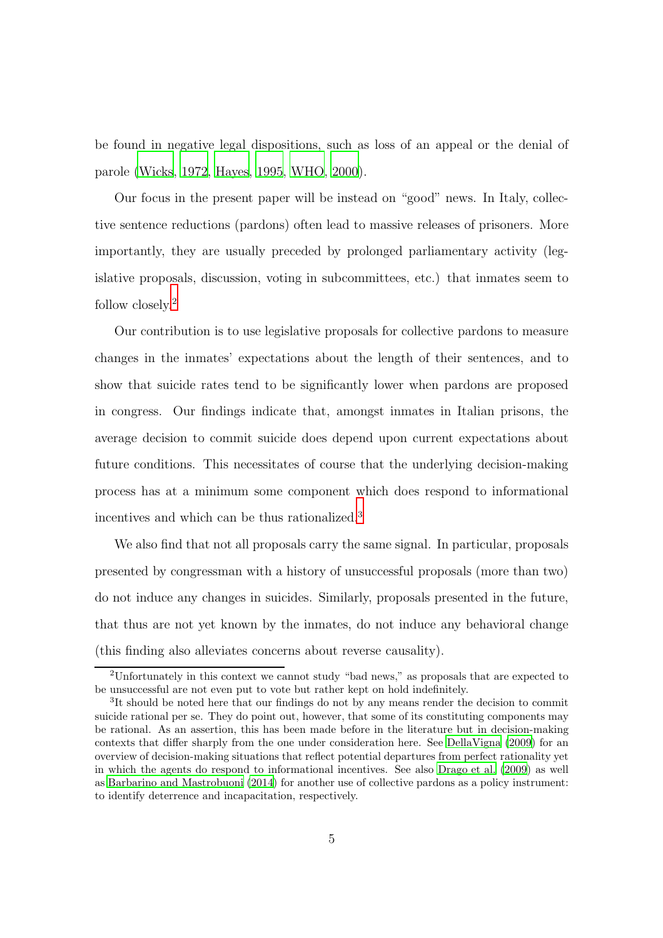be found in negative legal dispositions, such as loss of an appeal or the denial of parole [\(Wicks](#page-30-4), [1972](#page-30-4), [Hayes](#page-29-4), [1995,](#page-29-4) [WHO, 2000\)](#page-30-5).

Our focus in the present paper will be instead on "good" news. In Italy, collective sentence reductions (pardons) often lead to massive releases of prisoners. More importantly, they are usually preceded by prolonged parliamentary activity (legislative proposals, discussion, voting in subcommittees, etc.) that inmates seem to follow closely.<sup>2</sup>

Our contribution is to use legislative proposals for collective pardons to measure changes in the inmates' expectations about the length of their sentences, and to show that suicide rates tend to be significantly lower when pardons are proposed in congress. Our findings indicate that, amongst inmates in Italian prisons, the average decision to commit suicide does depend upon current expectations about future conditions. This necessitates of course that the underlying decision-making process has at a minimum some component which does respond to informational incentives and which can be thus rationalized.<sup>3</sup>

We also find that not all proposals carry the same signal. In particular, proposals presented by congressman with a history of unsuccessful proposals (more than two) do not induce any changes in suicides. Similarly, proposals presented in the future, that thus are not yet known by the inmates, do not induce any behavioral change (this finding also alleviates concerns about reverse causality).

<sup>&</sup>lt;sup>2</sup>Unfortunately in this context we cannot study "bad news," as proposals that are expected to be unsuccessful are not even put to vote but rather kept on hold indefinitely.

<sup>&</sup>lt;sup>3</sup>It should be noted here that our findings do not by any means render the decision to commit suicide rational per se. They do point out, however, that some of its constituting components may be rational. As an assertion, this has been made before in the literature but in decision-making contexts that differ sharply from the one under consideration here. See [DellaVigna \(2009\)](#page-28-6) for an overview of decision-making situations that reflect potential departures from perfect rationality yet in which the agents do respond to informational incentives. See also [Drago et al. \(2009\)](#page-29-5) as well as [Barbarino and Mastrobuoni \(2014](#page-27-1)) for another use of collective pardons as a policy instrument: to identify deterrence and incapacitation, respectively.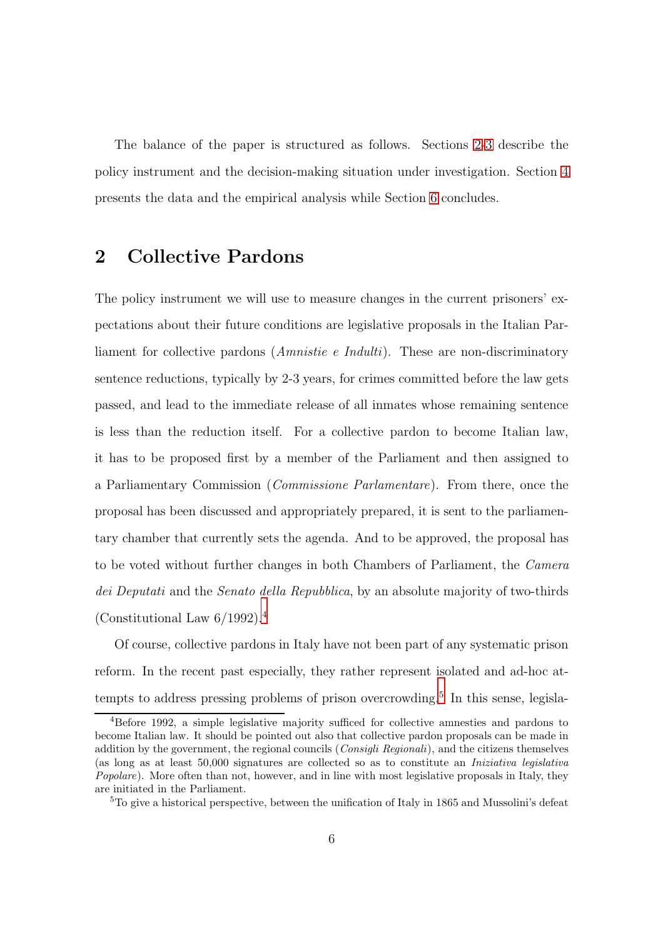The balance of the paper is structured as follows. Sections [2-](#page-7-0)[3](#page-10-0) describe the policy instrument and the decision-making situation under investigation. Section [4](#page-12-0) presents the data and the empirical analysis while Section [6](#page-24-0) concludes.

#### <span id="page-7-0"></span>2 Collective Pardons

The policy instrument we will use to measure changes in the current prisoners' expectations about their future conditions are legislative proposals in the Italian Parliament for collective pardons (Amnistie e Indulti). These are non-discriminatory sentence reductions, typically by 2-3 years, for crimes committed before the law gets passed, and lead to the immediate release of all inmates whose remaining sentence is less than the reduction itself. For a collective pardon to become Italian law, it has to be proposed first by a member of the Parliament and then assigned to a Parliamentary Commission (Commissione Parlamentare). From there, once the proposal has been discussed and appropriately prepared, it is sent to the parliamentary chamber that currently sets the agenda. And to be approved, the proposal has to be voted without further changes in both Chambers of Parliament, the Camera dei Deputati and the Senato della Repubblica, by an absolute majority of two-thirds (Constitutional Law 6/1992).<sup>4</sup>

Of course, collective pardons in Italy have not been part of any systematic prison reform. In the recent past especially, they rather represent isolated and ad-hoc attempts to address pressing problems of prison overcrowding.<sup>5</sup> In this sense, legisla-

<sup>4</sup>Before 1992, a simple legislative majority sufficed for collective amnesties and pardons to become Italian law. It should be pointed out also that collective pardon proposals can be made in addition by the government, the regional councils (Consigli Regionali), and the citizens themselves (as long as at least 50,000 signatures are collected so as to constitute an Iniziativa legislativa Popolare). More often than not, however, and in line with most legislative proposals in Italy, they are initiated in the Parliament.

<sup>5</sup>To give a historical perspective, between the unification of Italy in 1865 and Mussolini's defeat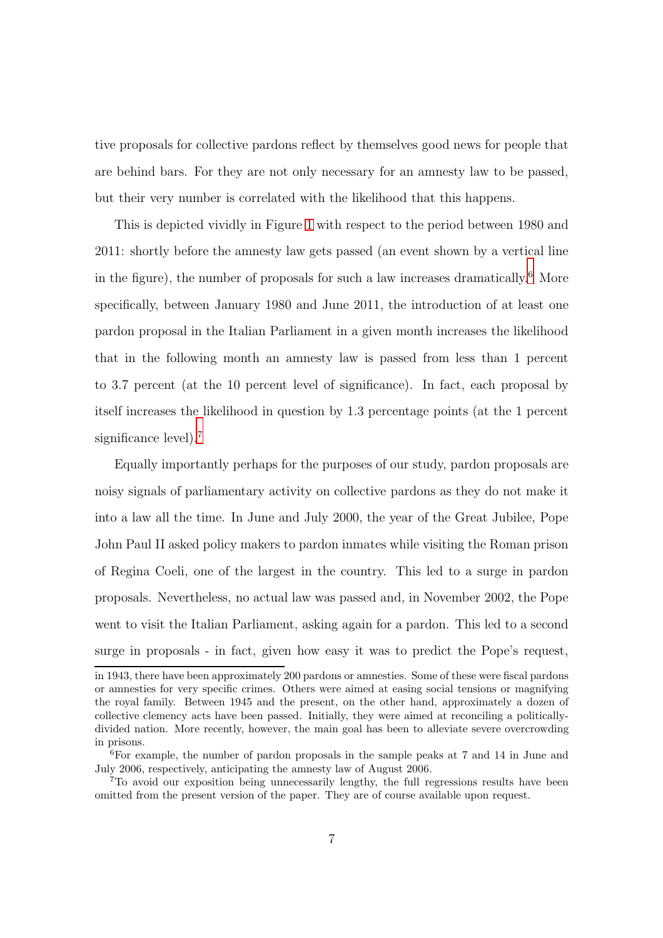tive proposals for collective pardons reflect by themselves good news for people that are behind bars. For they are not only necessary for an amnesty law to be passed, but their very number is correlated with the likelihood that this happens.

This is depicted vividly in Figure [1](#page-31-0) with respect to the period between 1980 and 2011: shortly before the amnesty law gets passed (an event shown by a vertical line in the figure), the number of proposals for such a law increases dramatically.<sup>6</sup> More specifically, between January 1980 and June 2011, the introduction of at least one pardon proposal in the Italian Parliament in a given month increases the likelihood that in the following month an amnesty law is passed from less than 1 percent to 3.7 percent (at the 10 percent level of significance). In fact, each proposal by itself increases the likelihood in question by 1.3 percentage points (at the 1 percent significance level).<sup>7</sup>

Equally importantly perhaps for the purposes of our study, pardon proposals are noisy signals of parliamentary activity on collective pardons as they do not make it into a law all the time. In June and July 2000, the year of the Great Jubilee, Pope John Paul II asked policy makers to pardon inmates while visiting the Roman prison of Regina Coeli, one of the largest in the country. This led to a surge in pardon proposals. Nevertheless, no actual law was passed and, in November 2002, the Pope went to visit the Italian Parliament, asking again for a pardon. This led to a second surge in proposals - in fact, given how easy it was to predict the Pope's request,

in 1943, there have been approximately 200 pardons or amnesties. Some of these were fiscal pardons or amnesties for very specific crimes. Others were aimed at easing social tensions or magnifying the royal family. Between 1945 and the present, on the other hand, approximately a dozen of collective clemency acts have been passed. Initially, they were aimed at reconciling a politicallydivided nation. More recently, however, the main goal has been to alleviate severe overcrowding in prisons.

<sup>6</sup>For example, the number of pardon proposals in the sample peaks at 7 and 14 in June and July 2006, respectively, anticipating the amnesty law of August 2006.

<sup>7</sup>To avoid our exposition being unnecessarily lengthy, the full regressions results have been omitted from the present version of the paper. They are of course available upon request.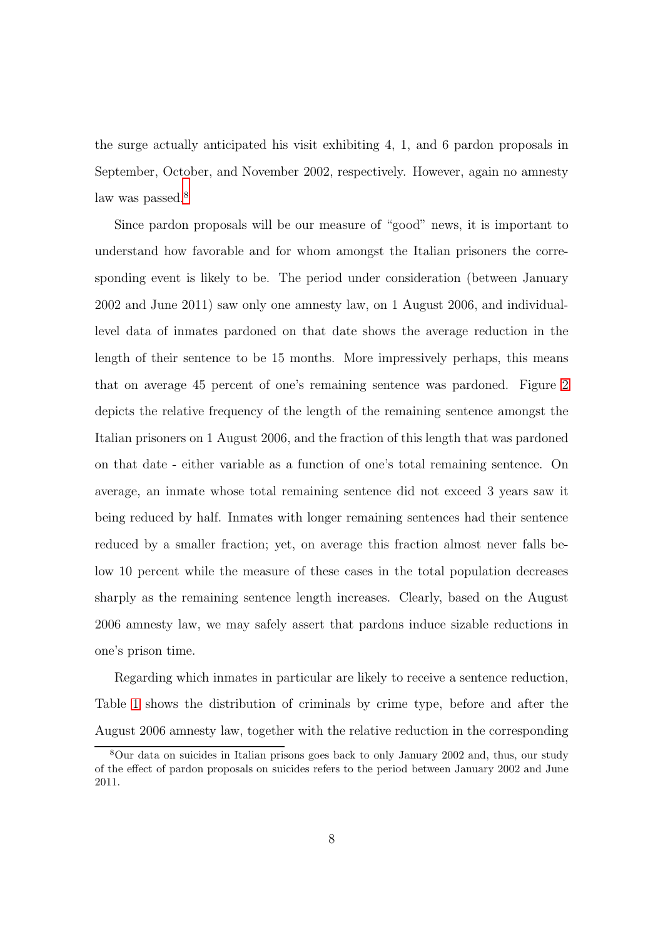the surge actually anticipated his visit exhibiting 4, 1, and 6 pardon proposals in September, October, and November 2002, respectively. However, again no amnesty law was passed.<sup>8</sup>

Since pardon proposals will be our measure of "good" news, it is important to understand how favorable and for whom amongst the Italian prisoners the corresponding event is likely to be. The period under consideration (between January 2002 and June 2011) saw only one amnesty law, on 1 August 2006, and individuallevel data of inmates pardoned on that date shows the average reduction in the length of their sentence to be 15 months. More impressively perhaps, this means that on average 45 percent of one's remaining sentence was pardoned. Figure [2](#page-32-0) depicts the relative frequency of the length of the remaining sentence amongst the Italian prisoners on 1 August 2006, and the fraction of this length that was pardoned on that date - either variable as a function of one's total remaining sentence. On average, an inmate whose total remaining sentence did not exceed 3 years saw it being reduced by half. Inmates with longer remaining sentences had their sentence reduced by a smaller fraction; yet, on average this fraction almost never falls below 10 percent while the measure of these cases in the total population decreases sharply as the remaining sentence length increases. Clearly, based on the August 2006 amnesty law, we may safely assert that pardons induce sizable reductions in one's prison time.

Regarding which inmates in particular are likely to receive a sentence reduction, Table [1](#page-34-0) shows the distribution of criminals by crime type, before and after the August 2006 amnesty law, together with the relative reduction in the corresponding

<sup>8</sup>Our data on suicides in Italian prisons goes back to only January 2002 and, thus, our study of the effect of pardon proposals on suicides refers to the period between January 2002 and June 2011.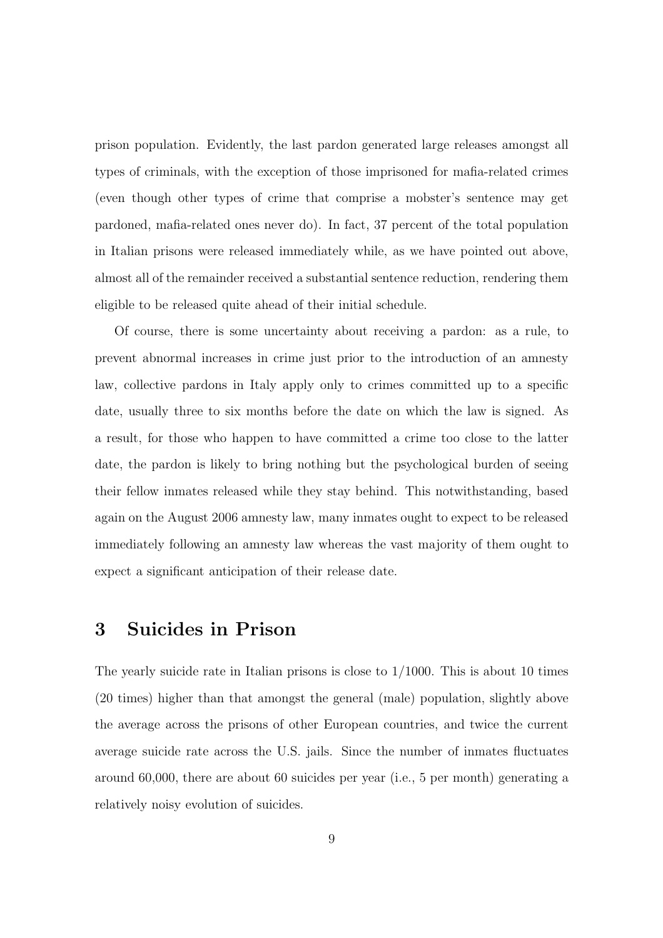prison population. Evidently, the last pardon generated large releases amongst all types of criminals, with the exception of those imprisoned for mafia-related crimes (even though other types of crime that comprise a mobster's sentence may get pardoned, mafia-related ones never do). In fact, 37 percent of the total population in Italian prisons were released immediately while, as we have pointed out above, almost all of the remainder received a substantial sentence reduction, rendering them eligible to be released quite ahead of their initial schedule.

Of course, there is some uncertainty about receiving a pardon: as a rule, to prevent abnormal increases in crime just prior to the introduction of an amnesty law, collective pardons in Italy apply only to crimes committed up to a specific date, usually three to six months before the date on which the law is signed. As a result, for those who happen to have committed a crime too close to the latter date, the pardon is likely to bring nothing but the psychological burden of seeing their fellow inmates released while they stay behind. This notwithstanding, based again on the August 2006 amnesty law, many inmates ought to expect to be released immediately following an amnesty law whereas the vast majority of them ought to expect a significant anticipation of their release date.

#### <span id="page-10-0"></span>3 Suicides in Prison

The yearly suicide rate in Italian prisons is close to  $1/1000$ . This is about 10 times (20 times) higher than that amongst the general (male) population, slightly above the average across the prisons of other European countries, and twice the current average suicide rate across the U.S. jails. Since the number of inmates fluctuates around 60,000, there are about 60 suicides per year (i.e., 5 per month) generating a relatively noisy evolution of suicides.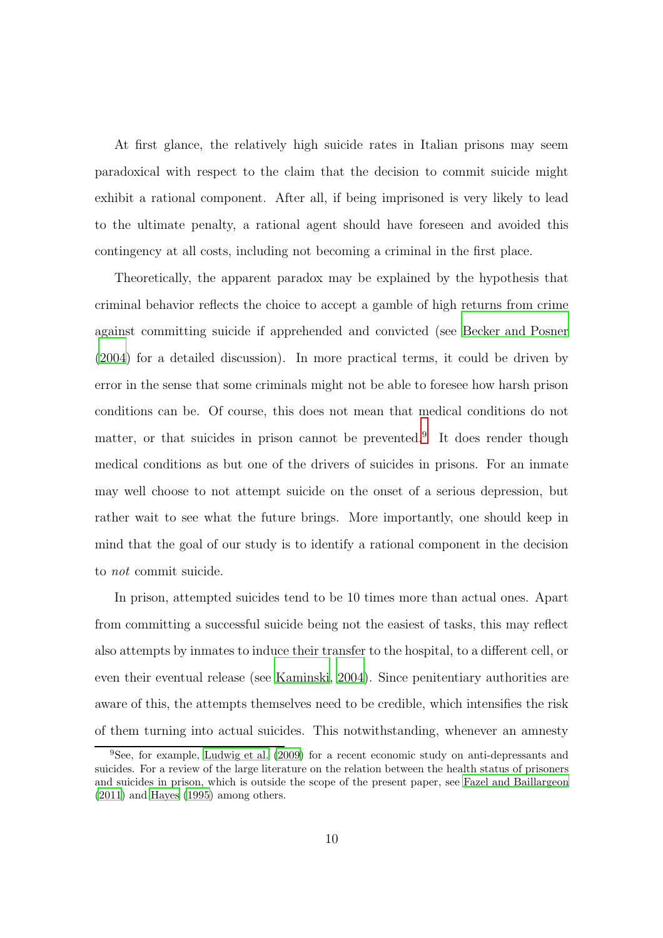At first glance, the relatively high suicide rates in Italian prisons may seem paradoxical with respect to the claim that the decision to commit suicide might exhibit a rational component. After all, if being imprisoned is very likely to lead to the ultimate penalty, a rational agent should have foreseen and avoided this contingency at all costs, including not becoming a criminal in the first place.

Theoretically, the apparent paradox may be explained by the hypothesis that criminal behavior reflects the choice to accept a gamble of high returns from crime against committing suicide if apprehended and convicted (see [Becker and Posner](#page-27-2) [\(2004](#page-27-2)) for a detailed discussion). In more practical terms, it could be driven by error in the sense that some criminals might not be able to foresee how harsh prison conditions can be. Of course, this does not mean that medical conditions do not matter, or that suicides in prison cannot be prevented.<sup>9</sup> It does render though medical conditions as but one of the drivers of suicides in prisons. For an inmate may well choose to not attempt suicide on the onset of a serious depression, but rather wait to see what the future brings. More importantly, one should keep in mind that the goal of our study is to identify a rational component in the decision to not commit suicide.

In prison, attempted suicides tend to be 10 times more than actual ones. Apart from committing a successful suicide being not the easiest of tasks, this may reflect also attempts by inmates to induce their transfer to the hospital, to a different cell, or even their eventual release (see [Kaminski, 2004\)](#page-29-3). Since penitentiary authorities are aware of this, the attempts themselves need to be credible, which intensifies the risk of them turning into actual suicides. This notwithstanding, whenever an amnesty

<sup>9</sup>See, for example, [Ludwig et al. \(2009](#page-30-6)) for a recent economic study on anti-depressants and suicides. For a review of the large literature on the relation between the health status of prisoners and suicides in prison, which is outside the scope of the present paper, see [Fazel and Baillargeon](#page-29-6) [\(2011\)](#page-29-6) and [Hayes \(1995](#page-29-4)) among others.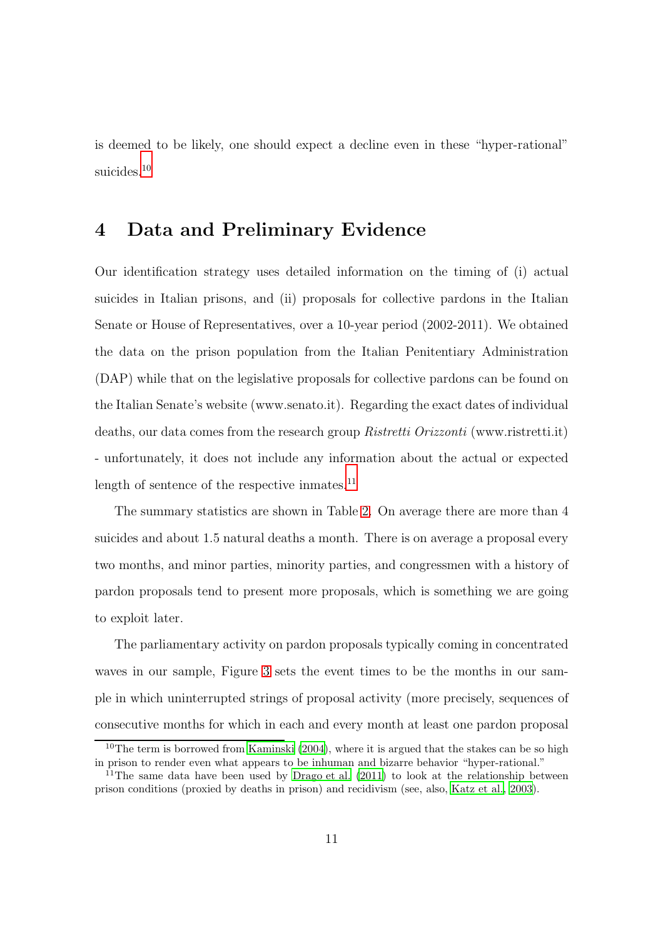<span id="page-12-0"></span>is deemed to be likely, one should expect a decline even in these "hyper-rational" suicides.<sup>10</sup>

## 4 Data and Preliminary Evidence

Our identification strategy uses detailed information on the timing of (i) actual suicides in Italian prisons, and (ii) proposals for collective pardons in the Italian Senate or House of Representatives, over a 10-year period (2002-2011). We obtained the data on the prison population from the Italian Penitentiary Administration (DAP) while that on the legislative proposals for collective pardons can be found on the Italian Senate's website (www.senato.it). Regarding the exact dates of individual deaths, our data comes from the research group Ristretti Orizzonti (www.ristretti.it) - unfortunately, it does not include any information about the actual or expected length of sentence of the respective inmates.<sup>11</sup>

The summary statistics are shown in Table [2.](#page-35-0) On average there are more than 4 suicides and about 1.5 natural deaths a month. There is on average a proposal every two months, and minor parties, minority parties, and congressmen with a history of pardon proposals tend to present more proposals, which is something we are going to exploit later.

The parliamentary activity on pardon proposals typically coming in concentrated waves in our sample, Figure [3](#page-32-1) sets the event times to be the months in our sample in which uninterrupted strings of proposal activity (more precisely, sequences of consecutive months for which in each and every month at least one pardon proposal

<sup>&</sup>lt;sup>10</sup>The term is borrowed from Kaminski  $(2004)$ , where it is argued that the stakes can be so high in prison to render even what appears to be inhuman and bizarre behavior "hyper-rational."

<sup>&</sup>lt;sup>11</sup>The same data have been used by Drago et al.  $(2011)$  to look at the relationship between prison conditions (proxied by deaths in prison) and recidivism (see, also, [Katz et al., 2003\)](#page-29-8).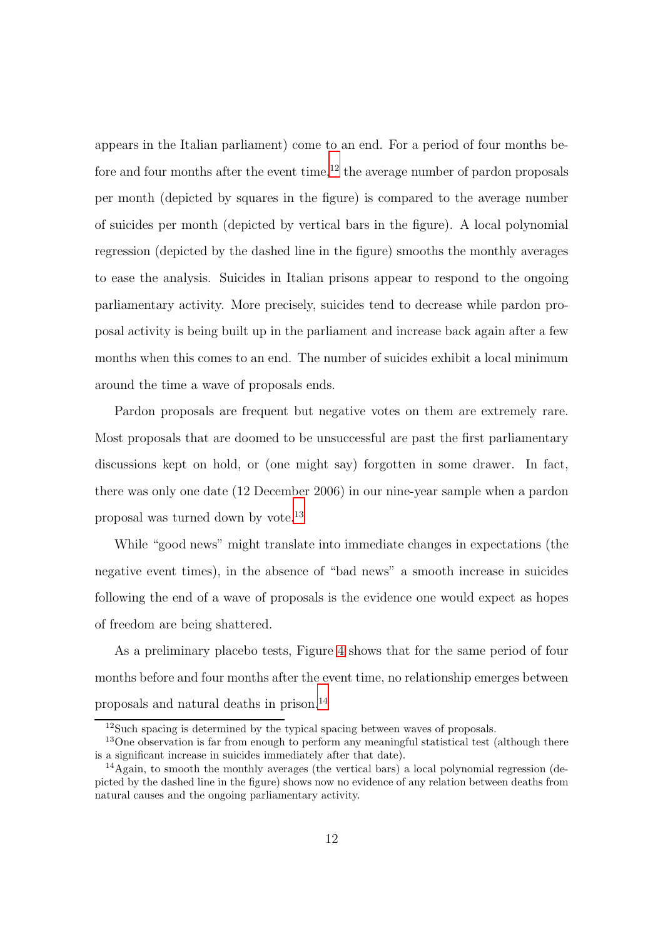appears in the Italian parliament) come to an end. For a period of four months before and four months after the event time,<sup>12</sup> the average number of pardon proposals per month (depicted by squares in the figure) is compared to the average number of suicides per month (depicted by vertical bars in the figure). A local polynomial regression (depicted by the dashed line in the figure) smooths the monthly averages to ease the analysis. Suicides in Italian prisons appear to respond to the ongoing parliamentary activity. More precisely, suicides tend to decrease while pardon proposal activity is being built up in the parliament and increase back again after a few months when this comes to an end. The number of suicides exhibit a local minimum around the time a wave of proposals ends.

Pardon proposals are frequent but negative votes on them are extremely rare. Most proposals that are doomed to be unsuccessful are past the first parliamentary discussions kept on hold, or (one might say) forgotten in some drawer. In fact, there was only one date (12 December 2006) in our nine-year sample when a pardon proposal was turned down by vote.<sup>13</sup>

While "good news" might translate into immediate changes in expectations (the negative event times), in the absence of "bad news" a smooth increase in suicides following the end of a wave of proposals is the evidence one would expect as hopes of freedom are being shattered.

As a preliminary placebo tests, Figure [4](#page-32-1) shows that for the same period of four months before and four months after the event time, no relationship emerges between proposals and natural deaths in prison.<sup>14</sup>

<sup>&</sup>lt;sup>12</sup>Such spacing is determined by the typical spacing between waves of proposals.

<sup>&</sup>lt;sup>13</sup>One observation is far from enough to perform any meaningful statistical test (although there is a significant increase in suicides immediately after that date).

<sup>&</sup>lt;sup>14</sup>Again, to smooth the monthly averages (the vertical bars) a local polynomial regression (depicted by the dashed line in the figure) shows now no evidence of any relation between deaths from natural causes and the ongoing parliamentary activity.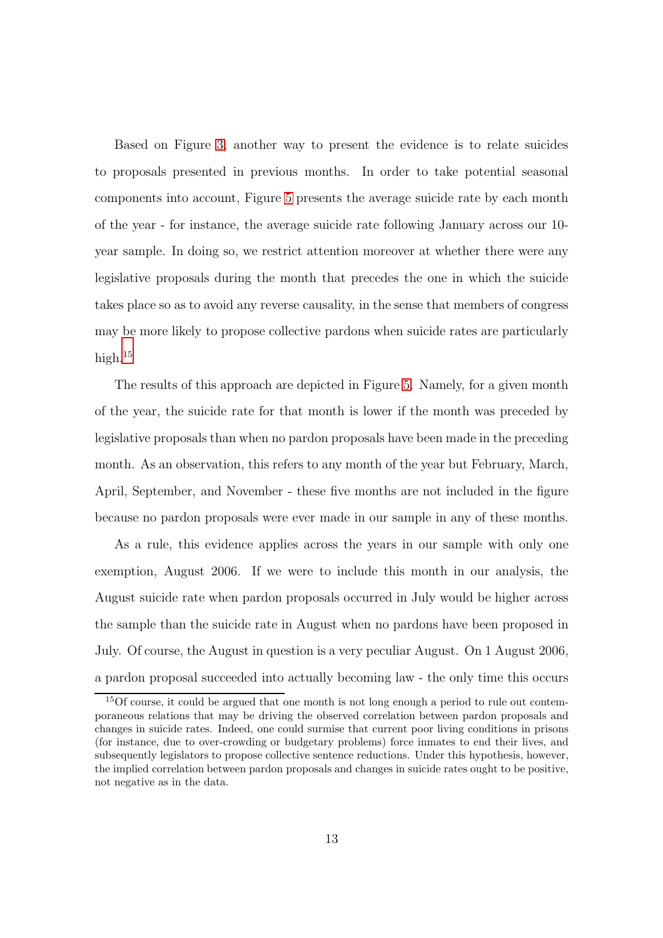Based on Figure [3,](#page-32-1) another way to present the evidence is to relate suicides to proposals presented in previous months. In order to take potential seasonal components into account, Figure [5](#page-33-0) presents the average suicide rate by each month of the year - for instance, the average suicide rate following January across our 10 year sample. In doing so, we restrict attention moreover at whether there were any legislative proposals during the month that precedes the one in which the suicide takes place so as to avoid any reverse causality, in the sense that members of congress may be more likely to propose collective pardons when suicide rates are particularly high. $15$ 

The results of this approach are depicted in Figure [5.](#page-33-0) Namely, for a given month of the year, the suicide rate for that month is lower if the month was preceded by legislative proposals than when no pardon proposals have been made in the preceding month. As an observation, this refers to any month of the year but February, March, April, September, and November - these five months are not included in the figure because no pardon proposals were ever made in our sample in any of these months.

As a rule, this evidence applies across the years in our sample with only one exemption, August 2006. If we were to include this month in our analysis, the August suicide rate when pardon proposals occurred in July would be higher across the sample than the suicide rate in August when no pardons have been proposed in July. Of course, the August in question is a very peculiar August. On 1 August 2006, a pardon proposal succeeded into actually becoming law - the only time this occurs

<sup>&</sup>lt;sup>15</sup>Of course, it could be argued that one month is not long enough a period to rule out contemporaneous relations that may be driving the observed correlation between pardon proposals and changes in suicide rates. Indeed, one could surmise that current poor living conditions in prisons (for instance, due to over-crowding or budgetary problems) force inmates to end their lives, and subsequently legislators to propose collective sentence reductions. Under this hypothesis, however, the implied correlation between pardon proposals and changes in suicide rates ought to be positive, not negative as in the data.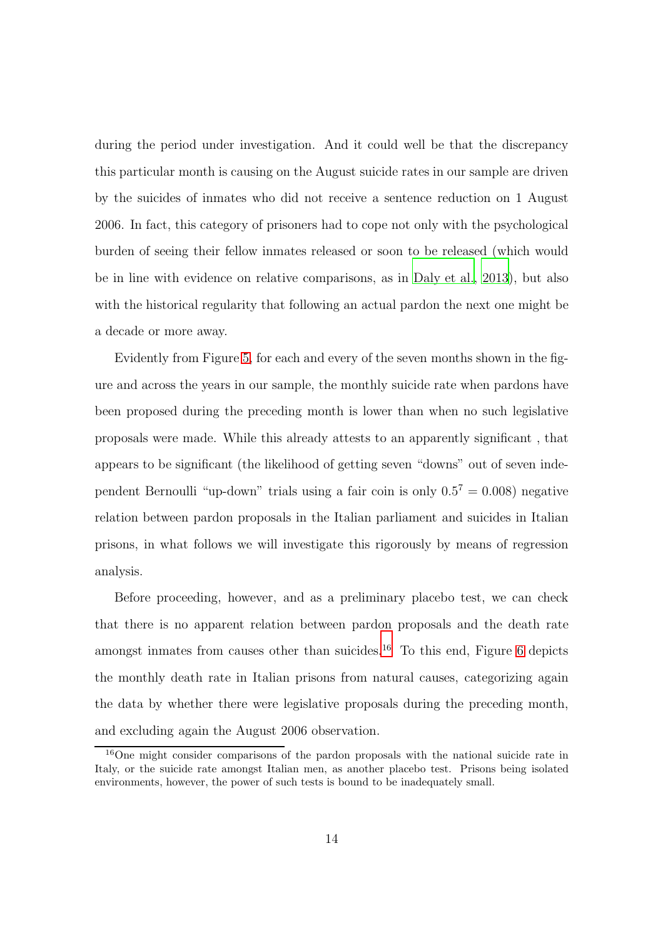during the period under investigation. And it could well be that the discrepancy this particular month is causing on the August suicide rates in our sample are driven by the suicides of inmates who did not receive a sentence reduction on 1 August 2006. In fact, this category of prisoners had to cope not only with the psychological burden of seeing their fellow inmates released or soon to be released (which would be in line with evidence on relative comparisons, as in [Daly et al.](#page-28-4), [2013](#page-28-4)), but also with the historical regularity that following an actual pardon the next one might be a decade or more away.

Evidently from Figure [5,](#page-33-0) for each and every of the seven months shown in the figure and across the years in our sample, the monthly suicide rate when pardons have been proposed during the preceding month is lower than when no such legislative proposals were made. While this already attests to an apparently significant , that appears to be significant (the likelihood of getting seven "downs" out of seven independent Bernoulli "up-down" trials using a fair coin is only  $0.5^7 = 0.008$ ) negative relation between pardon proposals in the Italian parliament and suicides in Italian prisons, in what follows we will investigate this rigorously by means of regression analysis.

Before proceeding, however, and as a preliminary placebo test, we can check that there is no apparent relation between pardon proposals and the death rate amongst inmates from causes other than suicides.<sup>16</sup> To this end, Figure [6](#page-33-0) depicts the monthly death rate in Italian prisons from natural causes, categorizing again the data by whether there were legislative proposals during the preceding month, and excluding again the August 2006 observation.

<sup>16</sup>One might consider comparisons of the pardon proposals with the national suicide rate in Italy, or the suicide rate amongst Italian men, as another placebo test. Prisons being isolated environments, however, the power of such tests is bound to be inadequately small.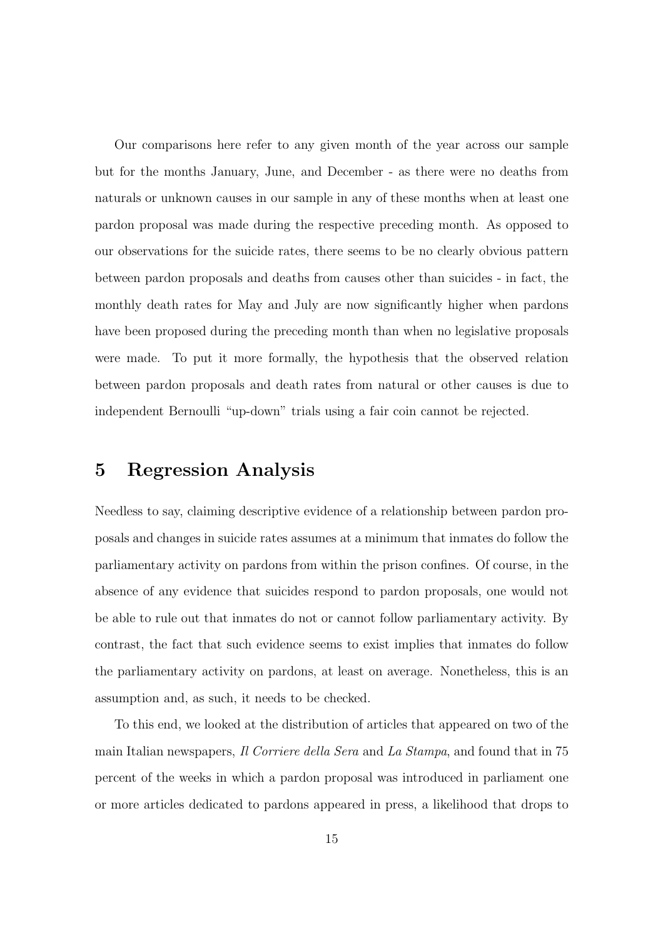Our comparisons here refer to any given month of the year across our sample but for the months January, June, and December - as there were no deaths from naturals or unknown causes in our sample in any of these months when at least one pardon proposal was made during the respective preceding month. As opposed to our observations for the suicide rates, there seems to be no clearly obvious pattern between pardon proposals and deaths from causes other than suicides - in fact, the monthly death rates for May and July are now significantly higher when pardons have been proposed during the preceding month than when no legislative proposals were made. To put it more formally, the hypothesis that the observed relation between pardon proposals and death rates from natural or other causes is due to independent Bernoulli "up-down" trials using a fair coin cannot be rejected.

#### 5 Regression Analysis

Needless to say, claiming descriptive evidence of a relationship between pardon proposals and changes in suicide rates assumes at a minimum that inmates do follow the parliamentary activity on pardons from within the prison confines. Of course, in the absence of any evidence that suicides respond to pardon proposals, one would not be able to rule out that inmates do not or cannot follow parliamentary activity. By contrast, the fact that such evidence seems to exist implies that inmates do follow the parliamentary activity on pardons, at least on average. Nonetheless, this is an assumption and, as such, it needs to be checked.

To this end, we looked at the distribution of articles that appeared on two of the main Italian newspapers, *Il Corriere della Sera* and La Stampa, and found that in 75 percent of the weeks in which a pardon proposal was introduced in parliament one or more articles dedicated to pardons appeared in press, a likelihood that drops to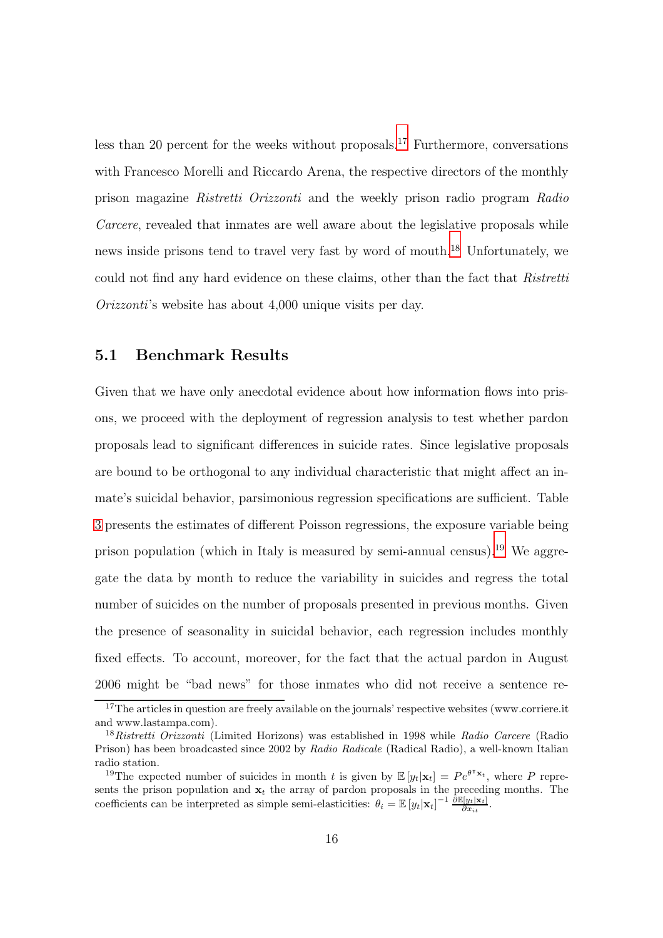less than 20 percent for the weeks without proposals.<sup>17</sup> Furthermore, conversations with Francesco Morelli and Riccardo Arena, the respective directors of the monthly prison magazine Ristretti Orizzonti and the weekly prison radio program Radio Carcere, revealed that inmates are well aware about the legislative proposals while news inside prisons tend to travel very fast by word of mouth.<sup>18</sup> Unfortunately, we could not find any hard evidence on these claims, other than the fact that Ristretti Orizzonti's website has about 4,000 unique visits per day.

#### 5.1 Benchmark Results

Given that we have only anecdotal evidence about how information flows into prisons, we proceed with the deployment of regression analysis to test whether pardon proposals lead to significant differences in suicide rates. Since legislative proposals are bound to be orthogonal to any individual characteristic that might affect an inmate's suicidal behavior, parsimonious regression specifications are sufficient. Table [3](#page-36-0) presents the estimates of different Poisson regressions, the exposure variable being prison population (which in Italy is measured by semi-annual census).<sup>19</sup> We aggregate the data by month to reduce the variability in suicides and regress the total number of suicides on the number of proposals presented in previous months. Given the presence of seasonality in suicidal behavior, each regression includes monthly fixed effects. To account, moreover, for the fact that the actual pardon in August 2006 might be "bad news" for those inmates who did not receive a sentence re-

<sup>&</sup>lt;sup>17</sup>The articles in question are freely available on the journals' respective websites (www.corriere.it and www.lastampa.com).

<sup>&</sup>lt;sup>18</sup>Ristretti Orizzonti (Limited Horizons) was established in 1998 while Radio Carcere (Radio Prison) has been broadcasted since 2002 by Radio Radicale (Radical Radio), a well-known Italian radio station.

<sup>&</sup>lt;sup>19</sup>The expected number of suicides in month t is given by  $\mathbb{E}[y_t|\mathbf{x}_t] = Pe^{\theta^{\mathsf{T}}\mathbf{x}_t}$ , where P represents the prison population and  $x_t$  the array of pardon proposals in the preceding months. The coefficients can be interpreted as simple semi-elasticities:  $\theta_i = \mathbb{E}[y_t|\mathbf{x}_t]^{-1} \frac{\partial \mathbb{E}[y_t|\mathbf{x}_t]}{\partial x_{it}}$ .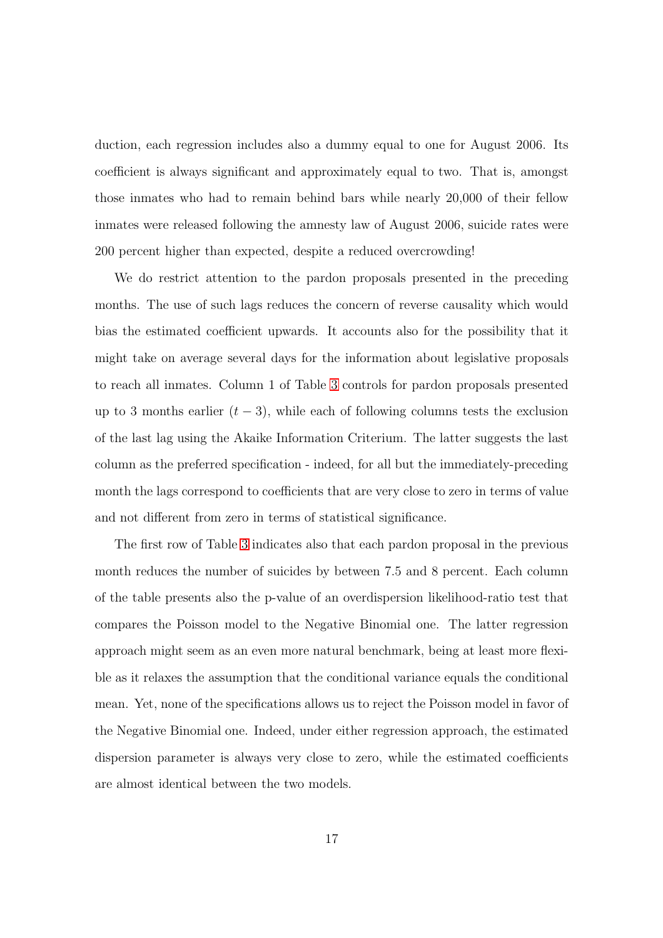duction, each regression includes also a dummy equal to one for August 2006. Its coefficient is always significant and approximately equal to two. That is, amongst those inmates who had to remain behind bars while nearly 20,000 of their fellow inmates were released following the amnesty law of August 2006, suicide rates were 200 percent higher than expected, despite a reduced overcrowding!

We do restrict attention to the pardon proposals presented in the preceding months. The use of such lags reduces the concern of reverse causality which would bias the estimated coefficient upwards. It accounts also for the possibility that it might take on average several days for the information about legislative proposals to reach all inmates. Column 1 of Table [3](#page-36-0) controls for pardon proposals presented up to 3 months earlier  $(t-3)$ , while each of following columns tests the exclusion of the last lag using the Akaike Information Criterium. The latter suggests the last column as the preferred specification - indeed, for all but the immediately-preceding month the lags correspond to coefficients that are very close to zero in terms of value and not different from zero in terms of statistical significance.

The first row of Table [3](#page-36-0) indicates also that each pardon proposal in the previous month reduces the number of suicides by between 7.5 and 8 percent. Each column of the table presents also the p-value of an overdispersion likelihood-ratio test that compares the Poisson model to the Negative Binomial one. The latter regression approach might seem as an even more natural benchmark, being at least more flexible as it relaxes the assumption that the conditional variance equals the conditional mean. Yet, none of the specifications allows us to reject the Poisson model in favor of the Negative Binomial one. Indeed, under either regression approach, the estimated dispersion parameter is always very close to zero, while the estimated coefficients are almost identical between the two models.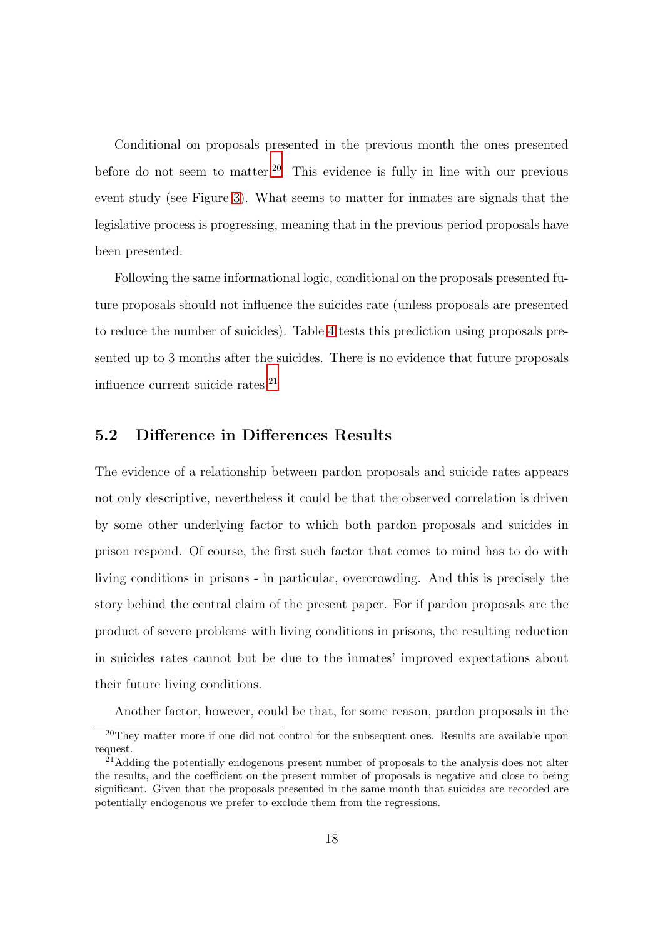Conditional on proposals presented in the previous month the ones presented before do not seem to matter.<sup>20</sup> This evidence is fully in line with our previous event study (see Figure [3\)](#page-32-1). What seems to matter for inmates are signals that the legislative process is progressing, meaning that in the previous period proposals have been presented.

Following the same informational logic, conditional on the proposals presented future proposals should not influence the suicides rate (unless proposals are presented to reduce the number of suicides). Table [4](#page-37-0) tests this prediction using proposals presented up to 3 months after the suicides. There is no evidence that future proposals influence current suicide rates. $21$ 

#### 5.2 Difference in Differences Results

The evidence of a relationship between pardon proposals and suicide rates appears not only descriptive, nevertheless it could be that the observed correlation is driven by some other underlying factor to which both pardon proposals and suicides in prison respond. Of course, the first such factor that comes to mind has to do with living conditions in prisons - in particular, overcrowding. And this is precisely the story behind the central claim of the present paper. For if pardon proposals are the product of severe problems with living conditions in prisons, the resulting reduction in suicides rates cannot but be due to the inmates' improved expectations about their future living conditions.

Another factor, however, could be that, for some reason, pardon proposals in the

<sup>&</sup>lt;sup>20</sup>They matter more if one did not control for the subsequent ones. Results are available upon request.

 $^{21}$ Adding the potentially endogenous present number of proposals to the analysis does not alter the results, and the coefficient on the present number of proposals is negative and close to being significant. Given that the proposals presented in the same month that suicides are recorded are potentially endogenous we prefer to exclude them from the regressions.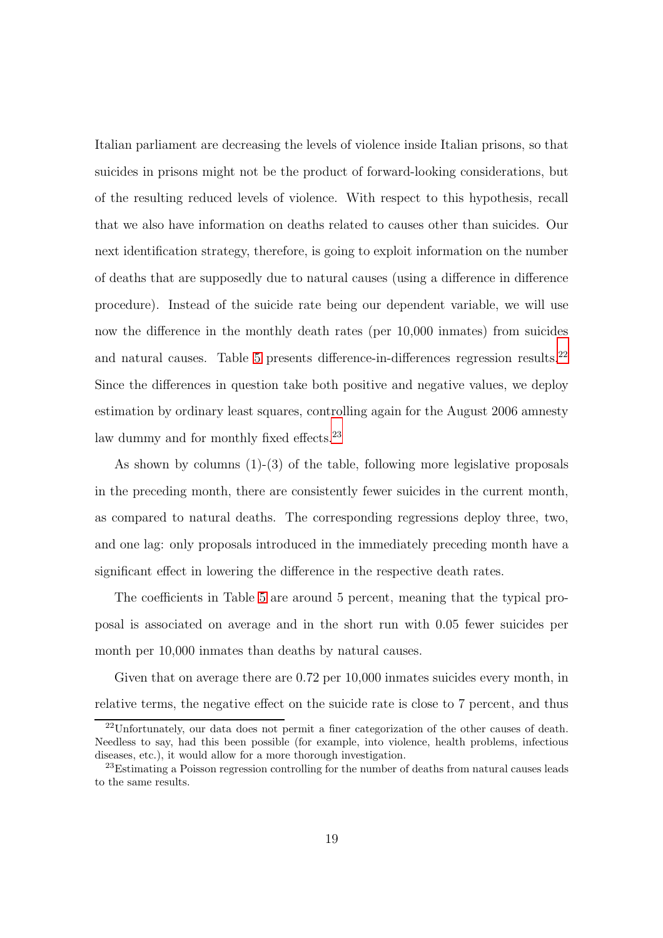Italian parliament are decreasing the levels of violence inside Italian prisons, so that suicides in prisons might not be the product of forward-looking considerations, but of the resulting reduced levels of violence. With respect to this hypothesis, recall that we also have information on deaths related to causes other than suicides. Our next identification strategy, therefore, is going to exploit information on the number of deaths that are supposedly due to natural causes (using a difference in difference procedure). Instead of the suicide rate being our dependent variable, we will use now the difference in the monthly death rates (per 10,000 inmates) from suicides and natural causes. Table [5](#page-38-0) presents difference-in-differences regression results.<sup>22</sup> Since the differences in question take both positive and negative values, we deploy estimation by ordinary least squares, controlling again for the August 2006 amnesty law dummy and for monthly fixed effects.<sup>23</sup>

As shown by columns  $(1)-(3)$  of the table, following more legislative proposals in the preceding month, there are consistently fewer suicides in the current month, as compared to natural deaths. The corresponding regressions deploy three, two, and one lag: only proposals introduced in the immediately preceding month have a significant effect in lowering the difference in the respective death rates.

The coefficients in Table [5](#page-38-0) are around 5 percent, meaning that the typical proposal is associated on average and in the short run with 0.05 fewer suicides per month per 10,000 inmates than deaths by natural causes.

Given that on average there are 0.72 per 10,000 inmates suicides every month, in relative terms, the negative effect on the suicide rate is close to 7 percent, and thus

 $^{22}$ Unfortunately, our data does not permit a finer categorization of the other causes of death. Needless to say, had this been possible (for example, into violence, health problems, infectious diseases, etc.), it would allow for a more thorough investigation.

<sup>&</sup>lt;sup>23</sup>Estimating a Poisson regression controlling for the number of deaths from natural causes leads to the same results.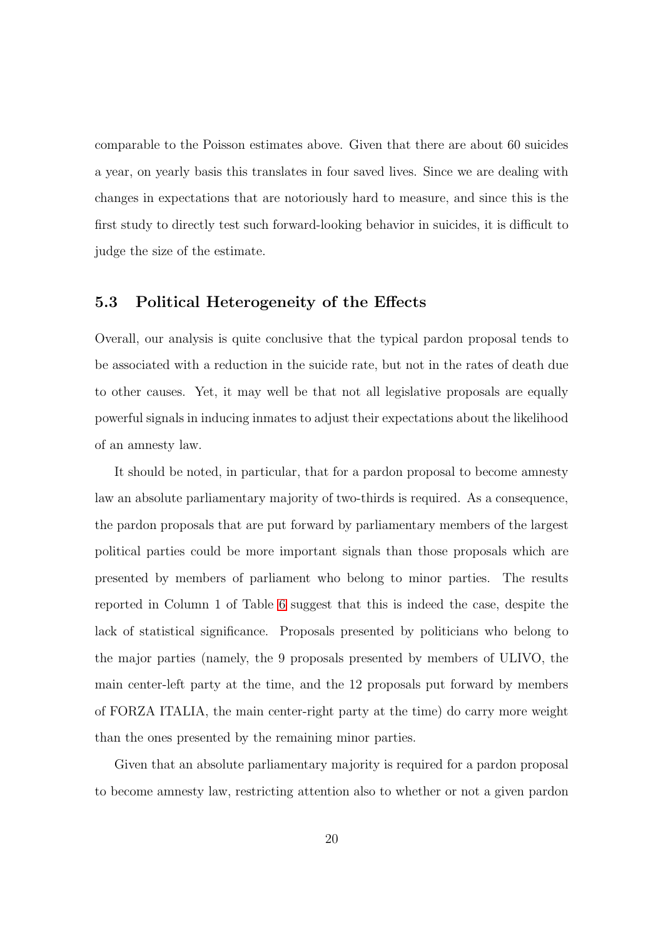comparable to the Poisson estimates above. Given that there are about 60 suicides a year, on yearly basis this translates in four saved lives. Since we are dealing with changes in expectations that are notoriously hard to measure, and since this is the first study to directly test such forward-looking behavior in suicides, it is difficult to judge the size of the estimate.

#### 5.3 Political Heterogeneity of the Effects

Overall, our analysis is quite conclusive that the typical pardon proposal tends to be associated with a reduction in the suicide rate, but not in the rates of death due to other causes. Yet, it may well be that not all legislative proposals are equally powerful signals in inducing inmates to adjust their expectations about the likelihood of an amnesty law.

It should be noted, in particular, that for a pardon proposal to become amnesty law an absolute parliamentary majority of two-thirds is required. As a consequence, the pardon proposals that are put forward by parliamentary members of the largest political parties could be more important signals than those proposals which are presented by members of parliament who belong to minor parties. The results reported in Column 1 of Table [6](#page-39-0) suggest that this is indeed the case, despite the lack of statistical significance. Proposals presented by politicians who belong to the major parties (namely, the 9 proposals presented by members of ULIVO, the main center-left party at the time, and the 12 proposals put forward by members of FORZA ITALIA, the main center-right party at the time) do carry more weight than the ones presented by the remaining minor parties.

Given that an absolute parliamentary majority is required for a pardon proposal to become amnesty law, restricting attention also to whether or not a given pardon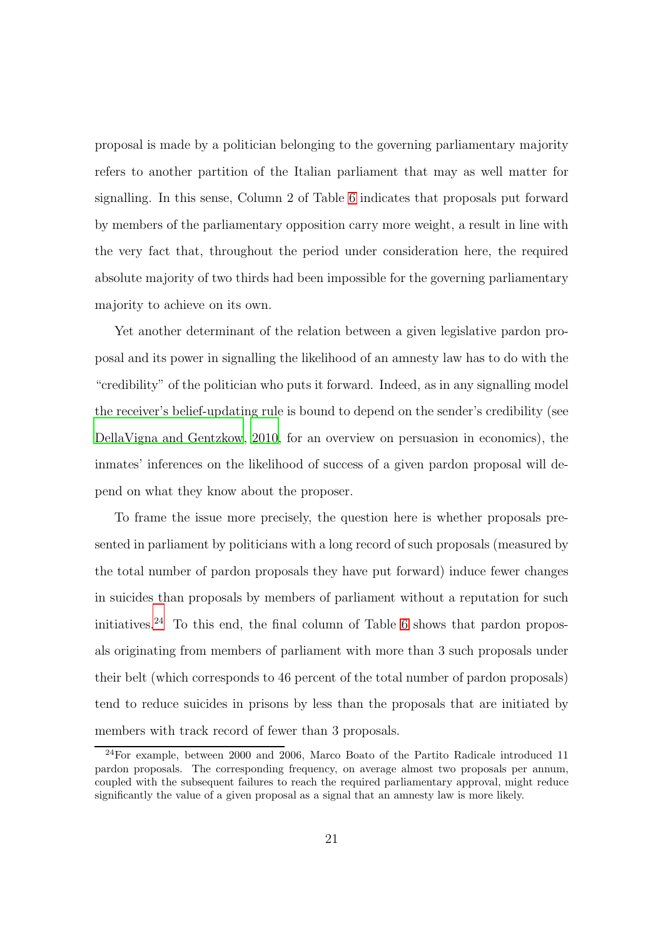proposal is made by a politician belonging to the governing parliamentary majority refers to another partition of the Italian parliament that may as well matter for signalling. In this sense, Column 2 of Table [6](#page-39-0) indicates that proposals put forward by members of the parliamentary opposition carry more weight, a result in line with the very fact that, throughout the period under consideration here, the required absolute majority of two thirds had been impossible for the governing parliamentary majority to achieve on its own.

Yet another determinant of the relation between a given legislative pardon proposal and its power in signalling the likelihood of an amnesty law has to do with the "credibility" of the politician who puts it forward. Indeed, as in any signalling model the receiver's belief-updating rule is bound to depend on the sender's credibility (see [DellaVigna and Gentzkow](#page-29-9), [2010,](#page-29-9) for an overview on persuasion in economics), the inmates' inferences on the likelihood of success of a given pardon proposal will depend on what they know about the proposer.

To frame the issue more precisely, the question here is whether proposals presented in parliament by politicians with a long record of such proposals (measured by the total number of pardon proposals they have put forward) induce fewer changes in suicides than proposals by members of parliament without a reputation for such initiatives.<sup>24</sup> To this end, the final column of Table [6](#page-39-0) shows that pardon proposals originating from members of parliament with more than 3 such proposals under their belt (which corresponds to 46 percent of the total number of pardon proposals) tend to reduce suicides in prisons by less than the proposals that are initiated by members with track record of fewer than 3 proposals.

<sup>24</sup>For example, between 2000 and 2006, Marco Boato of the Partito Radicale introduced 11 pardon proposals. The corresponding frequency, on average almost two proposals per annum, coupled with the subsequent failures to reach the required parliamentary approval, might reduce significantly the value of a given proposal as a signal that an amnesty law is more likely.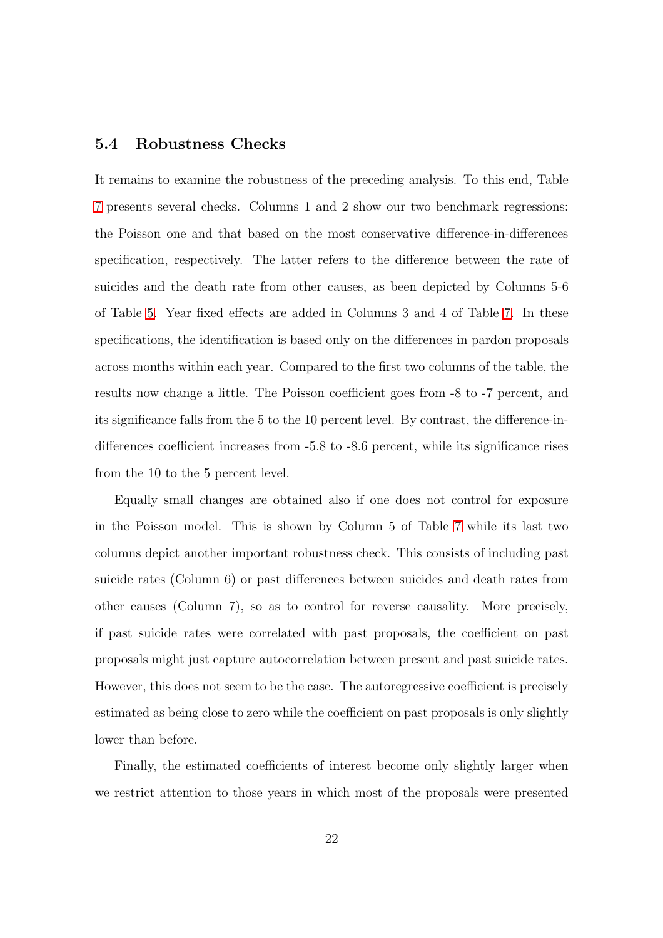#### 5.4 Robustness Checks

It remains to examine the robustness of the preceding analysis. To this end, Table [7](#page-40-0) presents several checks. Columns 1 and 2 show our two benchmark regressions: the Poisson one and that based on the most conservative difference-in-differences specification, respectively. The latter refers to the difference between the rate of suicides and the death rate from other causes, as been depicted by Columns 5-6 of Table [5.](#page-38-0) Year fixed effects are added in Columns 3 and 4 of Table [7.](#page-40-0) In these specifications, the identification is based only on the differences in pardon proposals across months within each year. Compared to the first two columns of the table, the results now change a little. The Poisson coefficient goes from -8 to -7 percent, and its significance falls from the 5 to the 10 percent level. By contrast, the difference-indifferences coefficient increases from -5.8 to -8.6 percent, while its significance rises from the 10 to the 5 percent level.

Equally small changes are obtained also if one does not control for exposure in the Poisson model. This is shown by Column 5 of Table [7](#page-40-0) while its last two columns depict another important robustness check. This consists of including past suicide rates (Column 6) or past differences between suicides and death rates from other causes (Column 7), so as to control for reverse causality. More precisely, if past suicide rates were correlated with past proposals, the coefficient on past proposals might just capture autocorrelation between present and past suicide rates. However, this does not seem to be the case. The autoregressive coefficient is precisely estimated as being close to zero while the coefficient on past proposals is only slightly lower than before.

Finally, the estimated coefficients of interest become only slightly larger when we restrict attention to those years in which most of the proposals were presented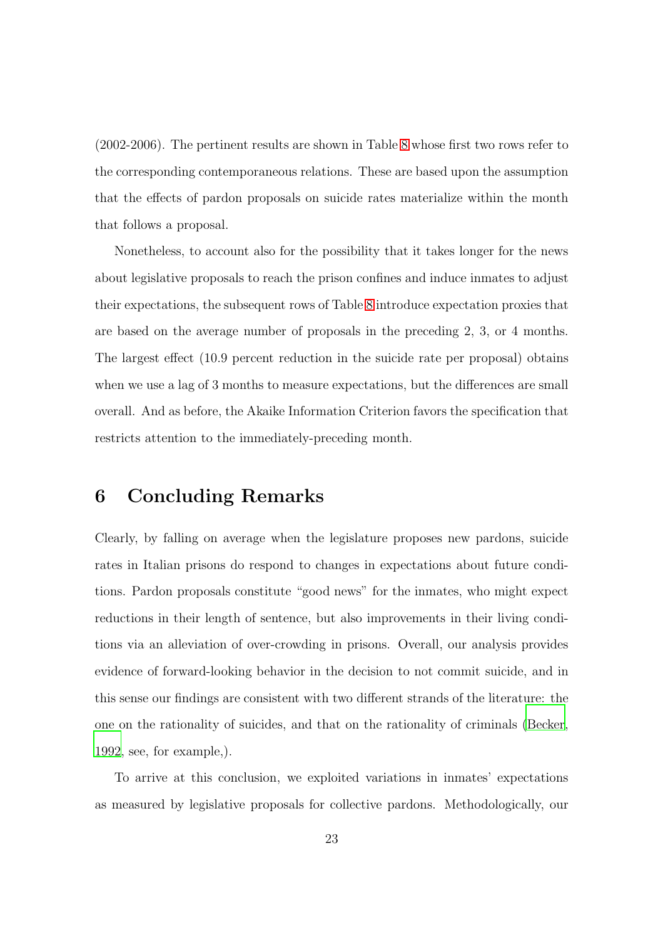(2002-2006). The pertinent results are shown in Table [8](#page-41-0) whose first two rows refer to the corresponding contemporaneous relations. These are based upon the assumption that the effects of pardon proposals on suicide rates materialize within the month that follows a proposal.

Nonetheless, to account also for the possibility that it takes longer for the news about legislative proposals to reach the prison confines and induce inmates to adjust their expectations, the subsequent rows of Table [8](#page-41-0) introduce expectation proxies that are based on the average number of proposals in the preceding 2, 3, or 4 months. The largest effect (10.9 percent reduction in the suicide rate per proposal) obtains when we use a lag of 3 months to measure expectations, but the differences are small overall. And as before, the Akaike Information Criterion favors the specification that restricts attention to the immediately-preceding month.

#### <span id="page-24-0"></span>6 Concluding Remarks

Clearly, by falling on average when the legislature proposes new pardons, suicide rates in Italian prisons do respond to changes in expectations about future conditions. Pardon proposals constitute "good news" for the inmates, who might expect reductions in their length of sentence, but also improvements in their living conditions via an alleviation of over-crowding in prisons. Overall, our analysis provides evidence of forward-looking behavior in the decision to not commit suicide, and in this sense our findings are consistent with two different strands of the literature: the one on the rationality of suicides, and that on the rationality of criminals [\(Becker](#page-27-3), [1992,](#page-27-3) see, for example,).

To arrive at this conclusion, we exploited variations in inmates' expectations as measured by legislative proposals for collective pardons. Methodologically, our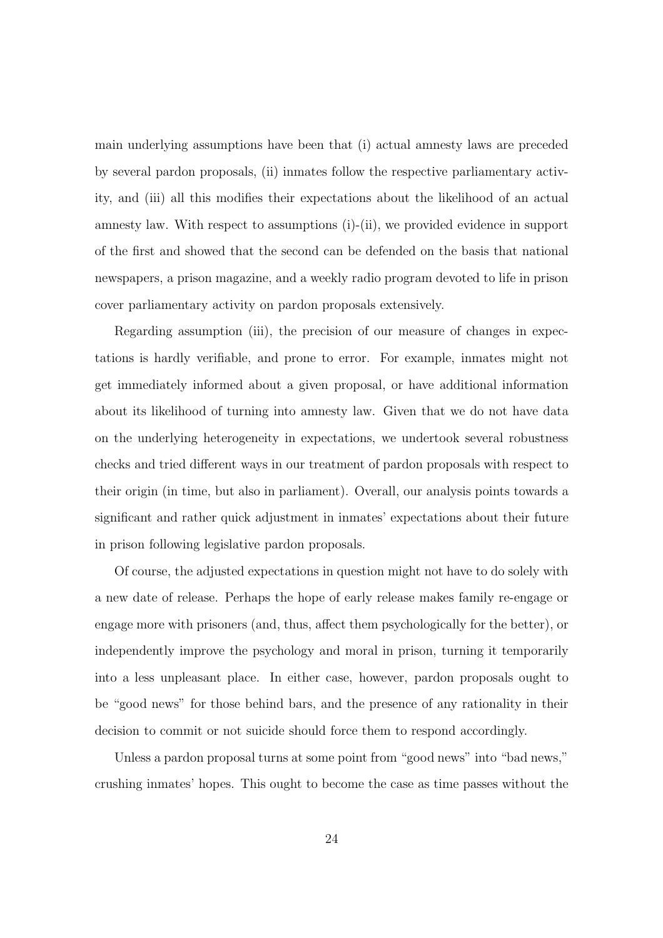main underlying assumptions have been that (i) actual amnesty laws are preceded by several pardon proposals, (ii) inmates follow the respective parliamentary activity, and (iii) all this modifies their expectations about the likelihood of an actual amnesty law. With respect to assumptions (i)-(ii), we provided evidence in support of the first and showed that the second can be defended on the basis that national newspapers, a prison magazine, and a weekly radio program devoted to life in prison cover parliamentary activity on pardon proposals extensively.

Regarding assumption (iii), the precision of our measure of changes in expectations is hardly verifiable, and prone to error. For example, inmates might not get immediately informed about a given proposal, or have additional information about its likelihood of turning into amnesty law. Given that we do not have data on the underlying heterogeneity in expectations, we undertook several robustness checks and tried different ways in our treatment of pardon proposals with respect to their origin (in time, but also in parliament). Overall, our analysis points towards a significant and rather quick adjustment in inmates' expectations about their future in prison following legislative pardon proposals.

Of course, the adjusted expectations in question might not have to do solely with a new date of release. Perhaps the hope of early release makes family re-engage or engage more with prisoners (and, thus, affect them psychologically for the better), or independently improve the psychology and moral in prison, turning it temporarily into a less unpleasant place. In either case, however, pardon proposals ought to be "good news" for those behind bars, and the presence of any rationality in their decision to commit or not suicide should force them to respond accordingly.

Unless a pardon proposal turns at some point from "good news" into "bad news," crushing inmates' hopes. This ought to become the case as time passes without the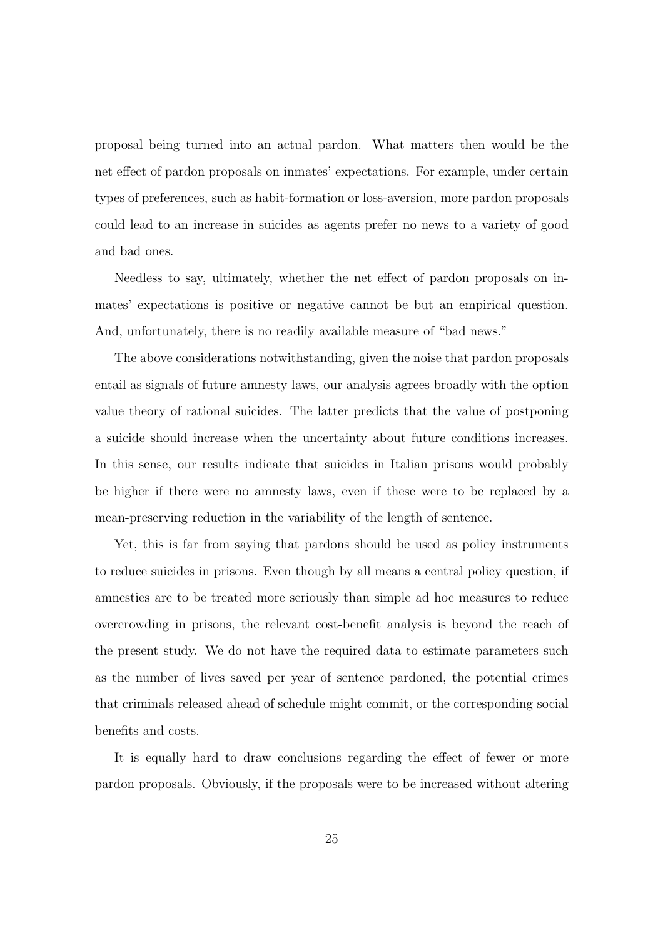proposal being turned into an actual pardon. What matters then would be the net effect of pardon proposals on inmates' expectations. For example, under certain types of preferences, such as habit-formation or loss-aversion, more pardon proposals could lead to an increase in suicides as agents prefer no news to a variety of good and bad ones.

Needless to say, ultimately, whether the net effect of pardon proposals on inmates' expectations is positive or negative cannot be but an empirical question. And, unfortunately, there is no readily available measure of "bad news."

The above considerations notwithstanding, given the noise that pardon proposals entail as signals of future amnesty laws, our analysis agrees broadly with the option value theory of rational suicides. The latter predicts that the value of postponing a suicide should increase when the uncertainty about future conditions increases. In this sense, our results indicate that suicides in Italian prisons would probably be higher if there were no amnesty laws, even if these were to be replaced by a mean-preserving reduction in the variability of the length of sentence.

Yet, this is far from saying that pardons should be used as policy instruments to reduce suicides in prisons. Even though by all means a central policy question, if amnesties are to be treated more seriously than simple ad hoc measures to reduce overcrowding in prisons, the relevant cost-benefit analysis is beyond the reach of the present study. We do not have the required data to estimate parameters such as the number of lives saved per year of sentence pardoned, the potential crimes that criminals released ahead of schedule might commit, or the corresponding social benefits and costs.

It is equally hard to draw conclusions regarding the effect of fewer or more pardon proposals. Obviously, if the proposals were to be increased without altering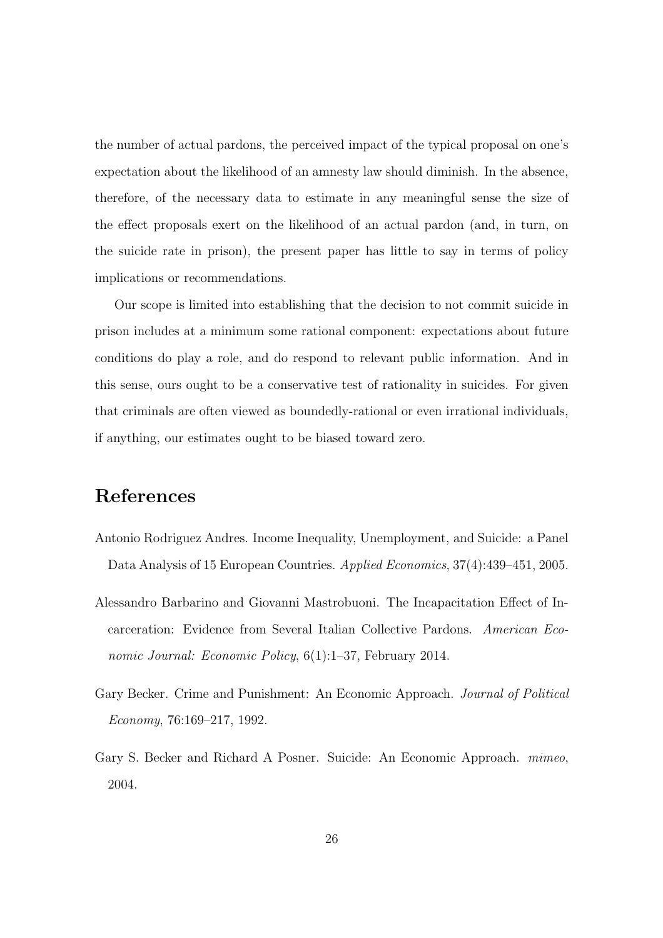the number of actual pardons, the perceived impact of the typical proposal on one's expectation about the likelihood of an amnesty law should diminish. In the absence, therefore, of the necessary data to estimate in any meaningful sense the size of the effect proposals exert on the likelihood of an actual pardon (and, in turn, on the suicide rate in prison), the present paper has little to say in terms of policy implications or recommendations.

Our scope is limited into establishing that the decision to not commit suicide in prison includes at a minimum some rational component: expectations about future conditions do play a role, and do respond to relevant public information. And in this sense, ours ought to be a conservative test of rationality in suicides. For given that criminals are often viewed as boundedly-rational or even irrational individuals, if anything, our estimates ought to be biased toward zero.

## References

- <span id="page-27-0"></span>Antonio Rodriguez Andres. Income Inequality, Unemployment, and Suicide: a Panel Data Analysis of 15 European Countries. Applied Economics, 37(4):439–451, 2005.
- <span id="page-27-1"></span>Alessandro Barbarino and Giovanni Mastrobuoni. The Incapacitation Effect of Incarceration: Evidence from Several Italian Collective Pardons. American Economic Journal: Economic Policy, 6(1):1–37, February 2014.
- <span id="page-27-3"></span>Gary Becker. Crime and Punishment: An Economic Approach. Journal of Political Economy, 76:169–217, 1992.
- <span id="page-27-2"></span>Gary S. Becker and Richard A Posner. Suicide: An Economic Approach. mimeo, 2004.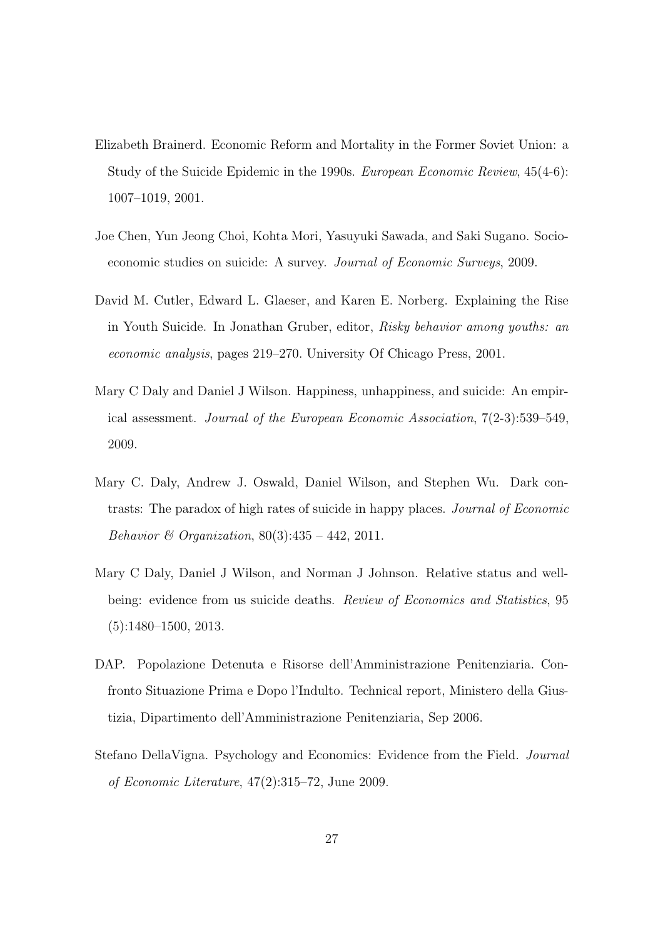- <span id="page-28-2"></span>Elizabeth Brainerd. Economic Reform and Mortality in the Former Soviet Union: a Study of the Suicide Epidemic in the 1990s. European Economic Review, 45(4-6): 1007–1019, 2001.
- <span id="page-28-0"></span>Joe Chen, Yun Jeong Choi, Kohta Mori, Yasuyuki Sawada, and Saki Sugano. Socioeconomic studies on suicide: A survey. Journal of Economic Surveys, 2009.
- <span id="page-28-1"></span>David M. Cutler, Edward L. Glaeser, and Karen E. Norberg. Explaining the Rise in Youth Suicide. In Jonathan Gruber, editor, Risky behavior among youths: an economic analysis, pages 219–270. University Of Chicago Press, 2001.
- <span id="page-28-3"></span>Mary C Daly and Daniel J Wilson. Happiness, unhappiness, and suicide: An empirical assessment. Journal of the European Economic Association, 7(2-3):539–549, 2009.
- <span id="page-28-5"></span>Mary C. Daly, Andrew J. Oswald, Daniel Wilson, and Stephen Wu. Dark contrasts: The paradox of high rates of suicide in happy places. Journal of Economic Behavior & Organization,  $80(3):435 - 442$ , 2011.
- <span id="page-28-4"></span>Mary C Daly, Daniel J Wilson, and Norman J Johnson. Relative status and wellbeing: evidence from us suicide deaths. Review of Economics and Statistics, 95 (5):1480–1500, 2013.
- <span id="page-28-7"></span>DAP. Popolazione Detenuta e Risorse dell'Amministrazione Penitenziaria. Confronto Situazione Prima e Dopo l'Indulto. Technical report, Ministero della Giustizia, Dipartimento dell'Amministrazione Penitenziaria, Sep 2006.
- <span id="page-28-6"></span>Stefano DellaVigna. Psychology and Economics: Evidence from the Field. Journal of Economic Literature, 47(2):315–72, June 2009.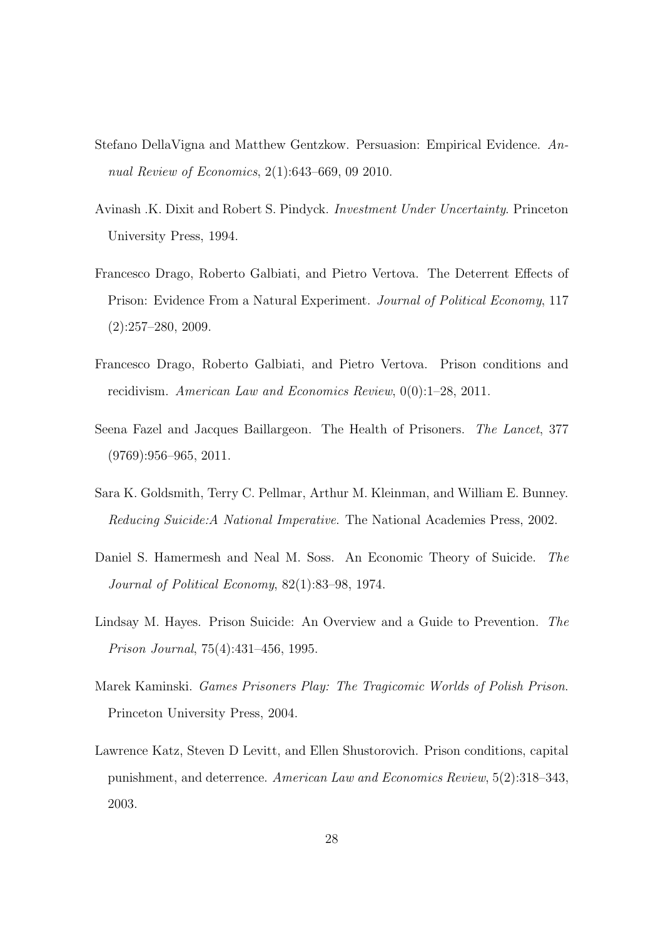- <span id="page-29-9"></span>Stefano DellaVigna and Matthew Gentzkow. Persuasion: Empirical Evidence. Annual Review of Economics, 2(1):643–669, 09 2010.
- <span id="page-29-1"></span>Avinash .K. Dixit and Robert S. Pindyck. Investment Under Uncertainty. Princeton University Press, 1994.
- <span id="page-29-5"></span>Francesco Drago, Roberto Galbiati, and Pietro Vertova. The Deterrent Effects of Prison: Evidence From a Natural Experiment. Journal of Political Economy, 117  $(2):257-280, 2009.$
- <span id="page-29-7"></span>Francesco Drago, Roberto Galbiati, and Pietro Vertova. Prison conditions and recidivism. American Law and Economics Review, 0(0):1–28, 2011.
- <span id="page-29-6"></span>Seena Fazel and Jacques Baillargeon. The Health of Prisoners. The Lancet, 377  $(9769):956-965, 2011.$
- <span id="page-29-2"></span>Sara K. Goldsmith, Terry C. Pellmar, Arthur M. Kleinman, and William E. Bunney. Reducing Suicide:A National Imperative. The National Academies Press, 2002.
- <span id="page-29-0"></span>Daniel S. Hamermesh and Neal M. Soss. An Economic Theory of Suicide. The Journal of Political Economy, 82(1):83–98, 1974.
- <span id="page-29-4"></span>Lindsay M. Hayes. Prison Suicide: An Overview and a Guide to Prevention. The Prison Journal, 75(4):431–456, 1995.
- <span id="page-29-3"></span>Marek Kaminski. Games Prisoners Play: The Tragicomic Worlds of Polish Prison. Princeton University Press, 2004.
- <span id="page-29-8"></span>Lawrence Katz, Steven D Levitt, and Ellen Shustorovich. Prison conditions, capital punishment, and deterrence. American Law and Economics Review, 5(2):318–343, 2003.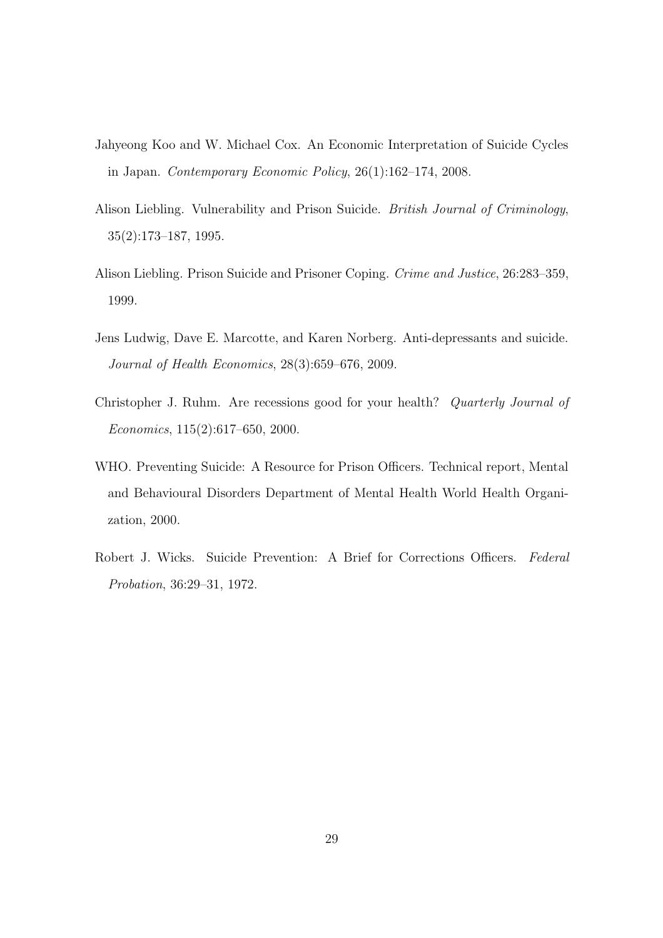- <span id="page-30-0"></span>Jahyeong Koo and W. Michael Cox. An Economic Interpretation of Suicide Cycles in Japan. Contemporary Economic Policy, 26(1):162–174, 2008.
- <span id="page-30-2"></span>Alison Liebling. Vulnerability and Prison Suicide. British Journal of Criminology, 35(2):173–187, 1995.
- <span id="page-30-3"></span>Alison Liebling. Prison Suicide and Prisoner Coping. Crime and Justice, 26:283–359, 1999.
- <span id="page-30-6"></span>Jens Ludwig, Dave E. Marcotte, and Karen Norberg. Anti-depressants and suicide. Journal of Health Economics, 28(3):659–676, 2009.
- <span id="page-30-1"></span>Christopher J. Ruhm. Are recessions good for your health? Quarterly Journal of Economics, 115(2):617–650, 2000.
- <span id="page-30-5"></span>WHO. Preventing Suicide: A Resource for Prison Officers. Technical report, Mental and Behavioural Disorders Department of Mental Health World Health Organization, 2000.
- <span id="page-30-4"></span>Robert J. Wicks. Suicide Prevention: A Brief for Corrections Officers. Federal Probation, 36:29–31, 1972.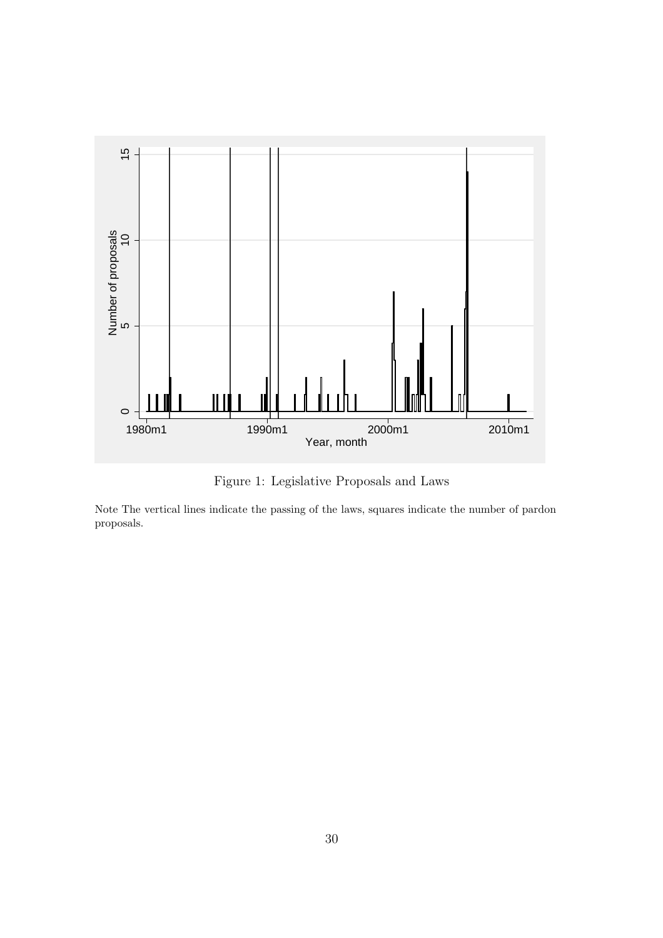<span id="page-31-0"></span>

Figure 1: Legislative Proposals and Laws

Note The vertical lines indicate the passing of the laws, squares indicate the number of pardon proposals.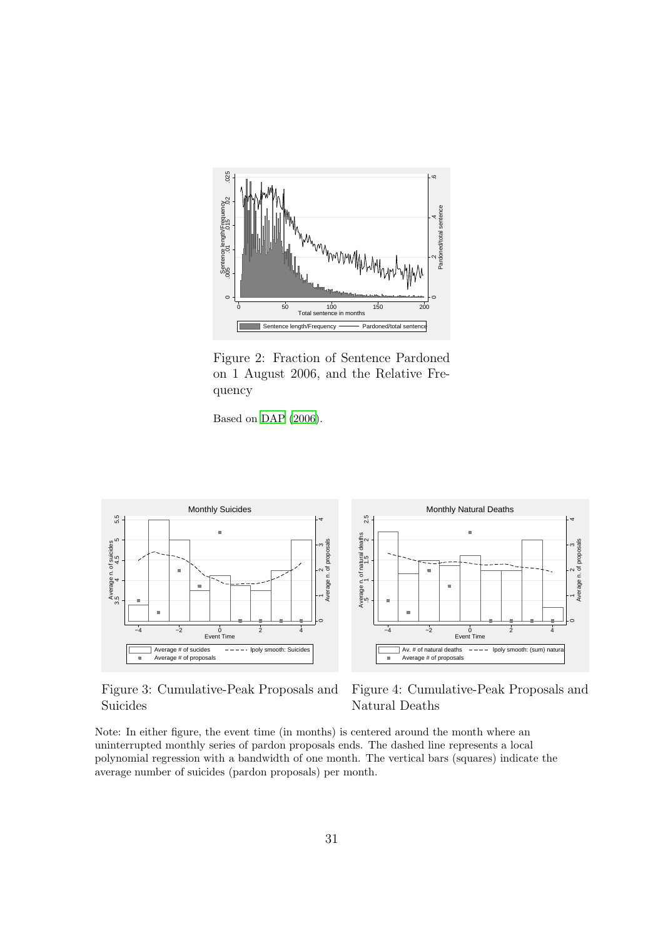<span id="page-32-0"></span>

Figure 2: Fraction of Sentence Pardoned on 1 August 2006, and the Relative Frequency

Based on [DAP \(2006](#page-28-7)).

<span id="page-32-1"></span>

Figure 3: Cumulative-Peak Proposals and Suicides

Figure 4: Cumulative-Peak Proposals and Natural Deaths

Note: In either figure, the event time (in months) is centered around the month where an uninterrupted monthly series of pardon proposals ends. The dashed line represents a local polynomial regression with a bandwidth of one month. The vertical bars (squares) indicate the average number of suicides (pardon proposals) per month.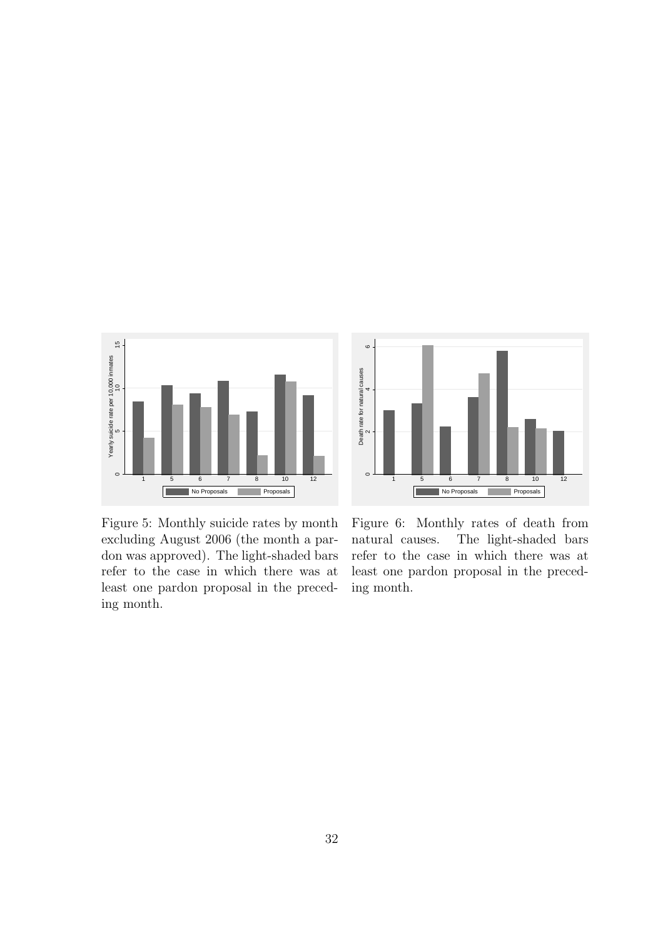<span id="page-33-0"></span>



Figure 5: Monthly suicide rates by month excluding August 2006 (the month a pardon was approved). The light-shaded bars refer to the case in which there was at least one pardon proposal in the preceding month.

Figure 6: Monthly rates of death from natural causes. The light-shaded bars refer to the case in which there was at least one pardon proposal in the preceding month.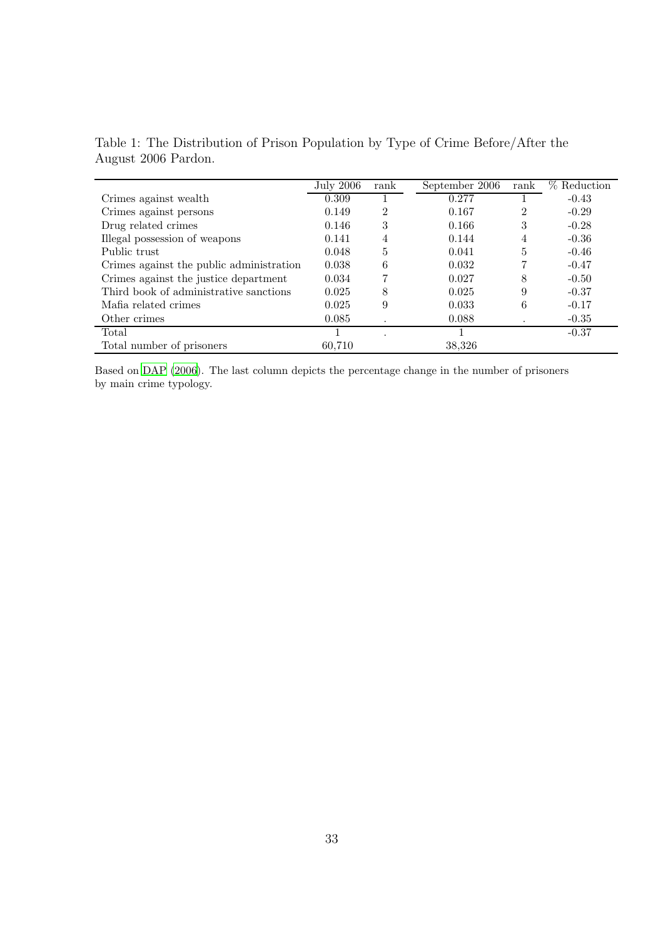|                                          | July 2006 | rank           | September 2006 | rank           | % Reduction |
|------------------------------------------|-----------|----------------|----------------|----------------|-------------|
| Crimes against wealth                    | 0.309     |                | 0.277          |                | $-0.43$     |
| Crimes against persons                   | 0.149     | $\mathfrak{D}$ | 0.167          | $\mathfrak{D}$ | $-0.29$     |
| Drug related crimes                      | 0.146     | 3              | 0.166          | 3              | $-0.28$     |
| Illegal possession of weapons            | 0.141     | 4              | 0.144          | 4              | $-0.36$     |
| Public trust                             | 0.048     | 5              | 0.041          | 5              | $-0.46$     |
| Crimes against the public administration | 0.038     | 6              | 0.032          |                | $-0.47$     |
| Crimes against the justice department    | 0.034     |                | 0.027          | 8              | $-0.50$     |
| Third book of administrative sanctions   | 0.025     | 8              | 0.025          | 9              | $-0.37$     |
| Mafia related crimes                     | 0.025     | 9              | 0.033          | 6              | $-0.17$     |
| Other crimes                             | 0.085     |                | 0.088          |                | $-0.35$     |
| Total                                    |           |                |                |                | $-0.37$     |
| Total number of prisoners                | 60.710    |                | 38,326         |                |             |

<span id="page-34-0"></span>Table 1: The Distribution of Prison Population by Type of Crime Before/After the August 2006 Pardon.

Based on [DAP \(2006\)](#page-28-7). The last column depicts the percentage change in the number of prisoners by main crime typology.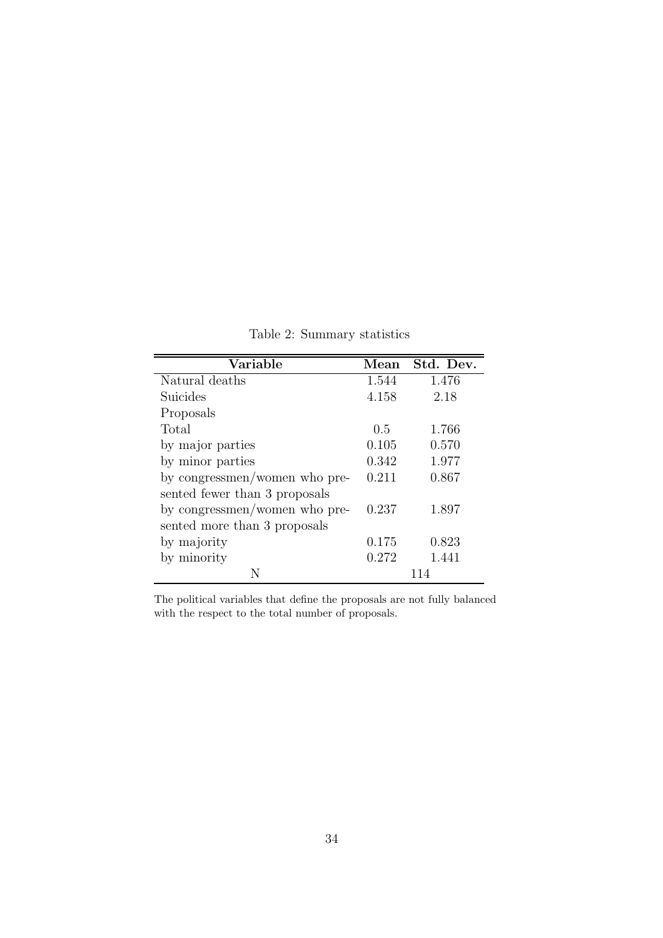Table 2: Summary statistics

<span id="page-35-0"></span>

| Variable                      | Mean  | Std. Dev. |
|-------------------------------|-------|-----------|
| Natural deaths                | 1.544 | 1.476     |
| Suicides                      | 4.158 | 2.18      |
| Proposals                     |       |           |
| Total                         | 0.5   | 1.766     |
| by major parties              | 0.105 | 0.570     |
| by minor parties              | 0.342 | 1.977     |
| by congressmen/women who pre- | 0.211 | 0.867     |
| sented fewer than 3 proposals |       |           |
| by congressmen/women who pre- | 0.237 | 1.897     |
| sented more than 3 proposals  |       |           |
| by majority                   | 0.175 | 0.823     |
| by minority                   | 0.272 | 1.441     |
|                               |       |           |

The political variables that define the proposals are not fully balanced with the respect to the total number of proposals.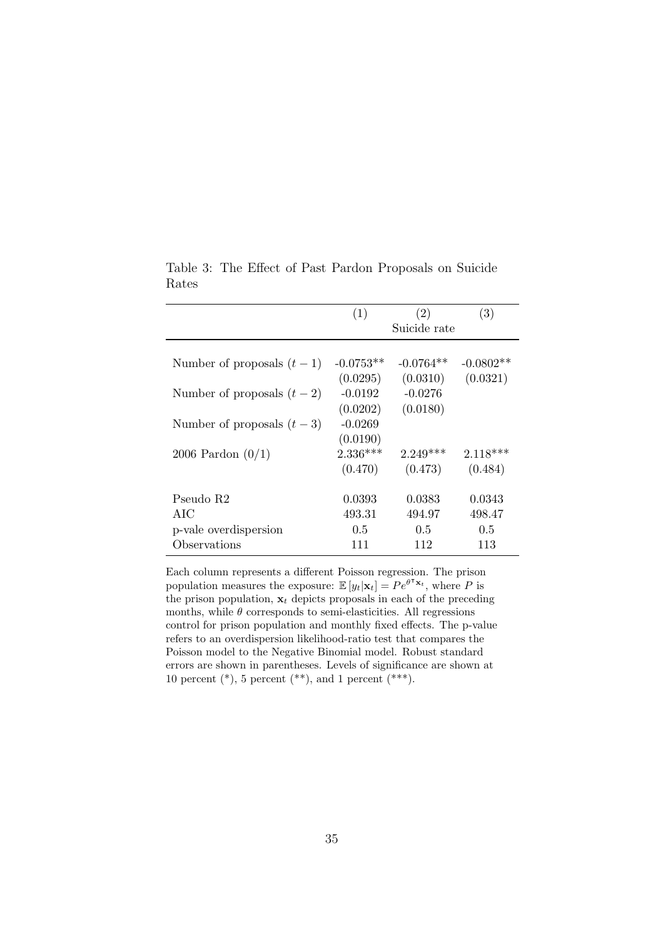|                             | (1)         | (2)          | (3)         |
|-----------------------------|-------------|--------------|-------------|
|                             |             | Suicide rate |             |
|                             |             |              |             |
| Number of proposals $(t-1)$ | $-0.0753**$ | $-0.0764**$  | $-0.0802**$ |
|                             | (0.0295)    | (0.0310)     | (0.0321)    |
| Number of proposals $(t-2)$ | $-0.0192$   | $-0.0276$    |             |
|                             | (0.0202)    | (0.0180)     |             |
| Number of proposals $(t-3)$ | $-0.0269$   |              |             |
|                             | (0.0190)    |              |             |
| 2006 Pardon $(0/1)$         | $2.336***$  | $2.249***$   | $2.118***$  |
|                             | (0.470)     | (0.473)      | (0.484)     |
|                             |             |              |             |
| Pseudo R2                   | 0.0393      | 0.0383       | 0.0343      |
| AIC                         | 493.31      | 494.97       | 498.47      |
| p-vale overdispersion       | 0.5         | 0.5          | 0.5         |
| Observations                | 111         | 112          | 113         |

<span id="page-36-0"></span>Table 3: The Effect of Past Pardon Proposals on Suicide Rates

Each column represents a different Poisson regression. The prison population measures the exposure:  $\mathbb{E}[y_t|\mathbf{x}_t] = Pe^{\theta^{\mathsf{T}}\mathbf{x}_t}$ , where P is the prison population,  $x_t$  depicts proposals in each of the preceding months, while  $\theta$  corresponds to semi-elasticities. All regressions control for prison population and monthly fixed effects. The p-value refers to an overdispersion likelihood-ratio test that compares the Poisson model to the Negative Binomial model. Robust standard errors are shown in parentheses. Levels of significance are shown at 10 percent  $(*)$ , 5 percent  $(**)$ , and 1 percent  $(***)$ .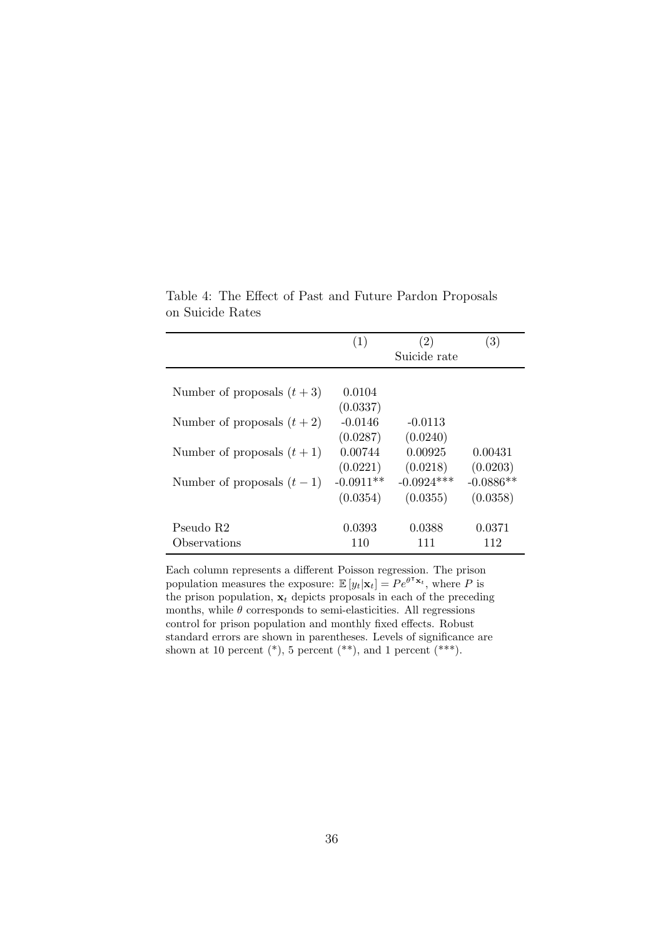|                             | (1)         | (2)<br>Suicide rate | (3)         |
|-----------------------------|-------------|---------------------|-------------|
|                             |             |                     |             |
| Number of proposals $(t+3)$ | 0.0104      |                     |             |
|                             | (0.0337)    |                     |             |
| Number of proposals $(t+2)$ | $-0.0146$   | $-0.0113$           |             |
|                             | (0.0287)    | (0.0240)            |             |
| Number of proposals $(t+1)$ | 0.00744     | 0.00925             | 0.00431     |
|                             | (0.0221)    | (0.0218)            | (0.0203)    |
| Number of proposals $(t-1)$ | $-0.0911**$ | $-0.0924***$        | $-0.0886**$ |
|                             | (0.0354)    | (0.0355)            | (0.0358)    |
|                             |             |                     |             |
| Pseudo R2                   | 0.0393      | 0.0388              | 0.0371      |
| Observations                | 110         | 111                 | 112         |

<span id="page-37-0"></span>Table 4: The Effect of Past and Future Pardon Proposals on Suicide Rates

Each column represents a different Poisson regression. The prison population measures the exposure:  $\mathbb{E}[y_t|\mathbf{x}_t] = Pe^{\theta^{\mathsf{T}}\mathbf{x}_t}$ , where P is the prison population,  $x_t$  depicts proposals in each of the preceding months, while  $\theta$  corresponds to semi-elasticities. All regressions control for prison population and monthly fixed effects. Robust standard errors are shown in parentheses. Levels of significance are shown at 10 percent  $(*)$ , 5 percent  $(**)$ , and 1 percent  $(***)$ .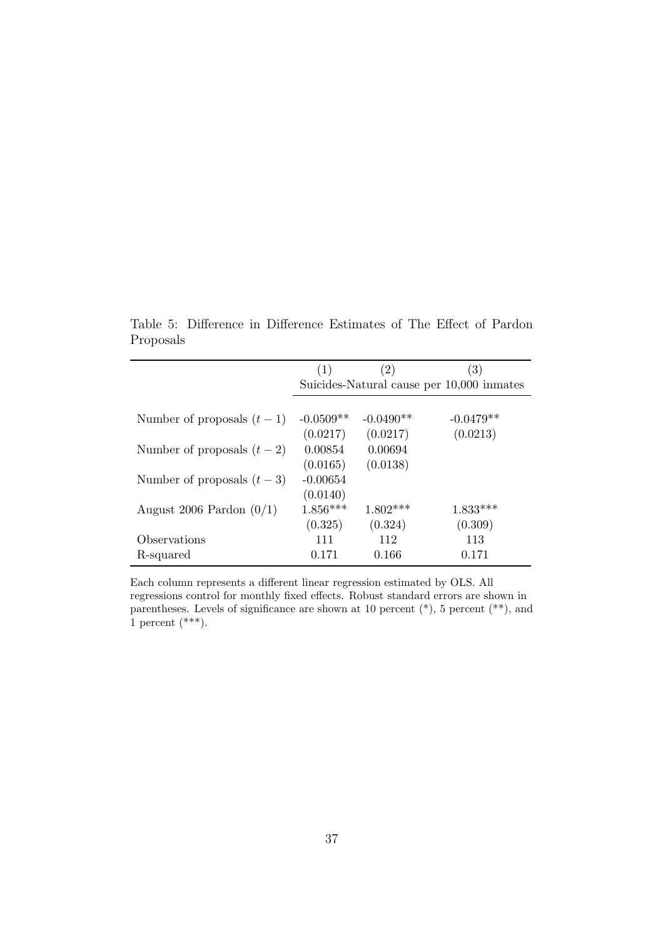|                             | (1)         | (2)         | (3)                                       |
|-----------------------------|-------------|-------------|-------------------------------------------|
|                             |             |             | Suicides-Natural cause per 10,000 inmates |
|                             |             |             |                                           |
| Number of proposals $(t-1)$ | $-0.0509**$ | $-0.0490**$ | $-0.0479**$                               |
|                             | (0.0217)    | (0.0217)    | (0.0213)                                  |
| Number of proposals $(t-2)$ | 0.00854     | 0.00694     |                                           |
|                             | (0.0165)    | (0.0138)    |                                           |
| Number of proposals $(t-3)$ | $-0.00654$  |             |                                           |
|                             | (0.0140)    |             |                                           |
| August 2006 Pardon $(0/1)$  | $1.856***$  | $1.802***$  | $1.833***$                                |
|                             | (0.325)     | (0.324)     | (0.309)                                   |
| Observations                | 111         | 112         | 113                                       |
| R-squared                   | 0.171       | 0.166       | 0.171                                     |

<span id="page-38-0"></span>Table 5: Difference in Difference Estimates of The Effect of Pardon Proposals

Each column represents a different linear regression estimated by OLS. All regressions control for monthly fixed effects. Robust standard errors are shown in parentheses. Levels of significance are shown at 10 percent  $(*)$ , 5 percent  $(**)$ , and  $1$  percent (\*\*\*).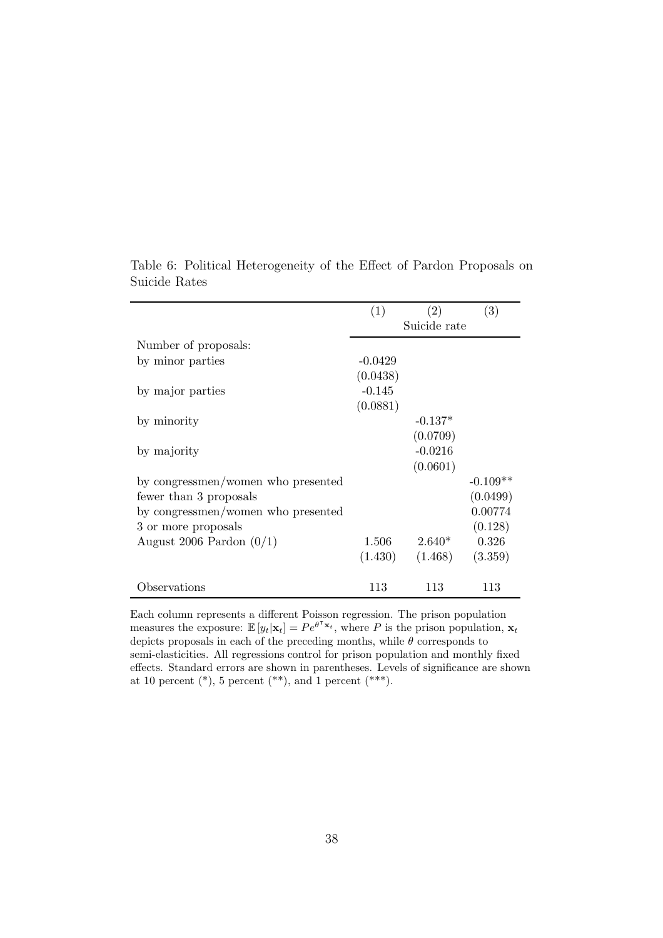|                                    | (1)          | (2)       | (3)        |
|------------------------------------|--------------|-----------|------------|
|                                    | Suicide rate |           |            |
| Number of proposals:               |              |           |            |
| by minor parties                   | $-0.0429$    |           |            |
|                                    | (0.0438)     |           |            |
| by major parties                   | $-0.145$     |           |            |
|                                    | (0.0881)     |           |            |
| by minority                        |              | $-0.137*$ |            |
|                                    |              | (0.0709)  |            |
| by majority                        |              | $-0.0216$ |            |
|                                    |              | (0.0601)  |            |
| by congressmen/women who presented |              |           | $-0.109**$ |
| fewer than 3 proposals             |              |           | (0.0499)   |
| by congressmen/women who presented |              |           | 0.00774    |
| 3 or more proposals                |              |           | (0.128)    |
| August 2006 Pardon $(0/1)$         | 1.506        | $2.640*$  | 0.326      |
|                                    | (1.430)      | (1.468)   | (3.359)    |
| Observations                       | 113          | 113       | 113        |

<span id="page-39-0"></span>Table 6: Political Heterogeneity of the Effect of Pardon Proposals on Suicide Rates

Each column represents a different Poisson regression. The prison population measures the exposure:  $\mathbb{E}[y_t|\mathbf{x}_t] = Pe^{\theta^{\mathsf{T}}\mathbf{x}_t}$ , where P is the prison population,  $\mathbf{x}_t$ depicts proposals in each of the preceding months, while  $\theta$  corresponds to semi-elasticities. All regressions control for prison population and monthly fixed effects. Standard errors are shown in parentheses. Levels of significance are shown at 10 percent  $(*)$ , 5 percent  $(**)$ , and 1 percent  $(***)$ .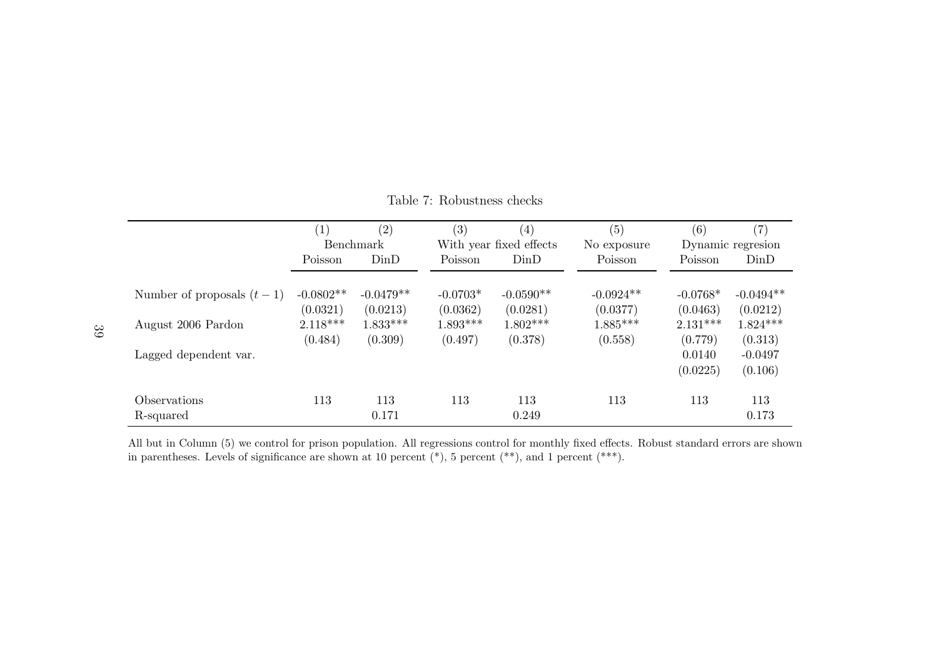<span id="page-40-0"></span>

|                             | (1)              | (2)               | $\left( 3\right)$ | $\left(4\right)$        | (5)         | (6)               | (7)         |
|-----------------------------|------------------|-------------------|-------------------|-------------------------|-------------|-------------------|-------------|
|                             | <b>Benchmark</b> |                   |                   | With year fixed effects | No exposure | Dynamic regresion |             |
|                             | Poisson          | D <sub>in</sub> D | Poisson           | DinD                    | Poisson     | Poisson           | DinD        |
|                             |                  |                   |                   |                         |             |                   |             |
| Number of proposals $(t-1)$ | $-0.0802**$      | $-0.0479**$       | $-0.0703*$        | $-0.0590**$             | $-0.0924**$ | $-0.0768*$        | $-0.0494**$ |
|                             | (0.0321)         | (0.0213)          | (0.0362)          | (0.0281)                | (0.0377)    | (0.0463)          | (0.0212)    |
| August 2006 Pardon          | $2.118***$       | $1.833***$        | $1.893***$        | $1.802***$              | $1.885***$  | $2.131***$        | $1.824***$  |
|                             | (0.484)          | (0.309)           | (0.497)           | (0.378)                 | (0.558)     | (0.779)           | (0.313)     |
| Lagged dependent var.       |                  |                   |                   |                         |             | 0.0140            | $-0.0497$   |
|                             |                  |                   |                   |                         |             | (0.0225)          | (0.106)     |
| <i><b>Observations</b></i>  | 113              | 113               | 113               | 113                     | 113         | 113               | 113         |
| R-squared                   |                  | 0.171             |                   | 0.249                   |             |                   | 0.173       |

Table 7: Robustness checks

All but in Column (5) we control for prison population. All regressions control for monthly fixed effects. Robust standard errors are shownin parentheses. Levels of significance are shown at 10 percent  $(*), 5$  percent  $(**)$ , and 1 percent  $(**)$ .